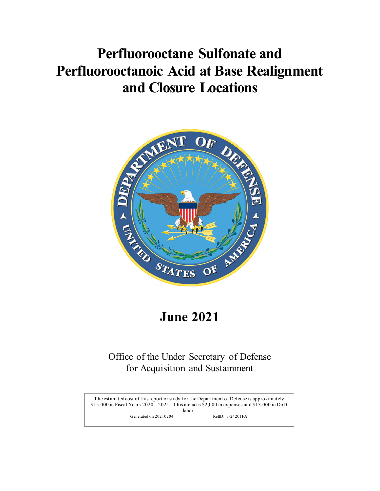# **Perfluorooctane Sulfonate and Perfluorooctanoic Acid at Base Realignment and Closure Locations**



# **June 2021**

# **June 2021**<br>
Office of the Under Secretary of Defense<br>
for Acquisition and Sustainment<br>
The estimated cost of this report or study for the Department of Defense is approximately<br>
S15,000 in Fiscal Years 2020–2021. This in Office of the Under Secretary of Defense<br>for Acquisition and Sustainment<br>The estimated cost of this report or study for the Department of Defense is approximately<br>\$15,000 in Fiscal Years 2020 – 2021. This includes \$2,000 i Office of the Under Secretary of Defense for Acquisition and Sustainment

The estimated cost of this report or study for the Department of Defense is approximately \$15,000 in Fiscal Years 2020 – 2021. This includes \$2,000 in expenses and \$13,000 in DoD labor.

Generated on 20210204 RefID: 3-24201FA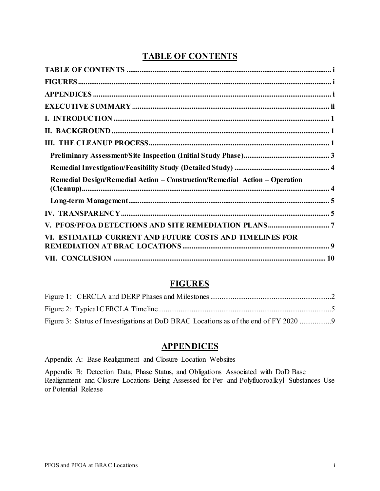# **TABLE OF CONTENTS**

<span id="page-1-0"></span>

| Remedial Design/Remedial Action - Construction/Remedial Action - Operation |  |
|----------------------------------------------------------------------------|--|
|                                                                            |  |
|                                                                            |  |
|                                                                            |  |
| VI. ESTIMATED CURRENT AND FUTURE COSTS AND TIMELINES FOR                   |  |
|                                                                            |  |

# **FIGURES**

<span id="page-1-1"></span>

| Figure 3: Status of Investigations at DoD BRAC Locations as of the end of FY 2020 |  |
|-----------------------------------------------------------------------------------|--|

## **APPENDICES**

<span id="page-1-2"></span>Appendix A: Base Realignment and Closure Location Websites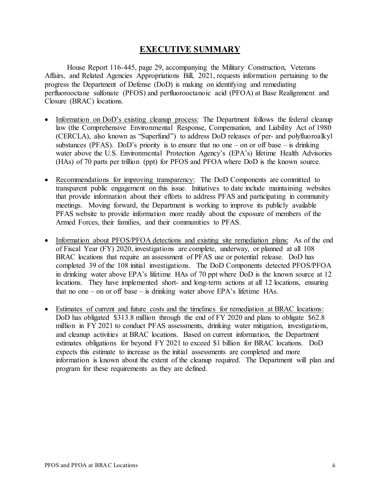# **EXECUTIVE SUMMARY**

<span id="page-2-0"></span>House Report 116-445, page 29, accompanying the Military Construction, Veterans Affairs, and Related Agencies Appropriations Bill, 2021, requests information pertaining to the progress the Department of Defense (DoD) is making on identifying and remediating perfluorooctane sulfonate (PFOS) and perfluorooctanoic acid (PFOA) at Base Realignment and Closure (BRAC) locations.

- Information on DoD's existing cleanup process: The Department follows the federal cleanup law (the Comprehensive Environmental Response, Compensation, and Liability Act of 1980 (CERCLA), also known as "Superfund") to address DoD releases of per- and polyfluoroalkyl substances (PFAS). DoD's priority is to ensure that no one – on or off base – is drinking water above the U.S. Environmental Protection Agency's (EPA's) lifetime Health Advisories (HAs) of 70 parts per trillion (ppt) for PFOS and PFOA where DoD is the known source.
- Recommendations for improving transparency: The DoD Components are committed to transparent public engagement on this issue. Initiatives to date include maintaining websites that provide information about their efforts to address PFAS and participating in community meetings. Moving forward, the Department is working to improve its publicly available PFAS website to provide information more readily about the exposure of members of the Armed Forces, their families, and their communities to PFAS.
- Information about PFOS/PFOA detections and existing site remediation plans: As of the end of Fiscal Year (FY) 2020, investigations are complete, underway, or planned at all 108 BRAC locations that require an assessment of PFAS use or potential release. DoD has completed 39 of the 108 initial investigations. The DoD Components detected PFOS/PFOA in drinking water above EPA's lifetime HAs of 70 ppt where DoD is the known source at 12 locations. They have implemented short- and long-term actions at all 12 locations, ensuring that no one – on or off base – is drinking water above EPA's lifetime HAs.
- Estimates of current and future costs and the timelines for remediation at BRAC locations: DoD has obligated \$313.8 million through the end of FY 2020 and plans to obligate \$62.8 million in FY 2021 to conduct PFAS assessments, drinking water mitigation, investigations, and cleanup activities at BRAC locations. Based on current information, the Department estimates obligations for beyond FY 2021 to exceed \$1 billion for BRAC locations. DoD expects this estimate to increase as the initial assessments are completed and more information is known about the extent of the cleanup required. The Department will plan and program for these requirements as they are defined.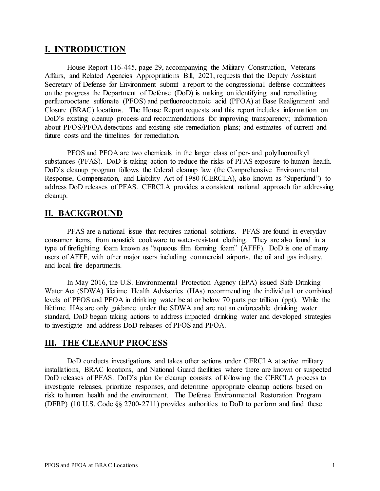# <span id="page-3-0"></span>**I. INTRODUCTION**

House Report 116-445, page 29, accompanying the Military Construction, Veterans Affairs, and Related Agencies Appropriations Bill, 2021, requests that the Deputy Assistant Secretary of Defense for Environment submit a report to the congressional defense committees on the progress the Department of Defense (DoD) is making on identifying and remediating perfluorooctane sulfonate (PFOS) and perfluorooctanoic acid (PFOA) at Base Realignment and Closure (BRAC) locations. The House Report requests and this report includes information on DoD's existing cleanup process and recommendations for improving transparency; information about PFOS/PFOA detections and existing site remediation plans; and estimates of current and future costs and the timelines for remediation.

PFOS and PFOA are two chemicals in the larger class of per- and polyfluoroalkyl substances (PFAS). DoD is taking action to reduce the risks of PFAS exposure to human health. DoD's cleanup program follows the federal cleanup law (the Comprehensive Environmental Response, Compensation, and Liability Act of 1980 (CERCLA), also known as "Superfund") to address DoD releases of PFAS. CERCLA provides a consistent national approach for addressing cleanup.

## <span id="page-3-1"></span>**II. BACKGROUND**

PFAS are a national issue that requires national solutions. PFAS are found in everyday consumer items, from nonstick cookware to water-resistant clothing. They are also found in a type of firefighting foam known as "aqueous film forming foam" (AFFF). DoD is one of many users of AFFF, with other major users including commercial airports, the oil and gas industry, and local fire departments.

In May 2016, the U.S. Environmental Protection Agency (EPA) issued Safe Drinking Water Act (SDWA) lifetime Health Advisories (HAs) recommending the individual or combined levels of PFOS and PFOA in drinking water be at or below 70 parts per trillion (ppt). While the lifetime HAs are only guidance under the SDWA and are not an enforceable drinking water standard, DoD began taking actions to address impacted drinking water and developed strategies to investigate and address DoD releases of PFOS and PFOA.

## <span id="page-3-2"></span>**III. THE CLEANUP PROCESS**

DoD conducts investigations and takes other actions under CERCLA at active military installations, BRAC locations, and National Guard facilities where there are known or suspected DoD releases of PFAS. DoD's plan for cleanup consists of following the CERCLA process to investigate releases, prioritize responses, and determine appropriate cleanup actions based on risk to human health and the environment. The Defense Environmental Restoration Program (DERP) (10 U.S. Code §§ 2700-2711) provides authorities to DoD to perform and fund these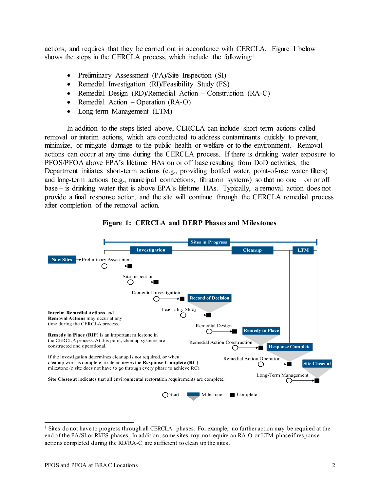actions, and requires that they be carried out in accordance with CERCLA. Figure 1 below shows the steps in the CERCLA process, which include the following:<sup>1</sup>

- Preliminary Assessment (PA)/Site Inspection (SI)
- Remedial Investigation (RI)/Feasibility Study (FS)
- Remedial Design (RD)/Remedial Action Construction (RA-C)
- Remedial Action Operation (RA-O)
- Long-term Management (LTM)

In addition to the steps listed above, CERCLA can include short-term actions called removal or interim actions, which are conducted to address contaminants quickly to prevent, minimize, or mitigate damage to the public health or welfare or to the environment. Removal actions can occur at any time during the CERCLA process. If there is drinking water exposure to PFOS/PFOA above EPA's lifetime HAs on or off base resulting from DoD activities, the Department initiates short-term actions (e.g., providing bottled water, point-of-use water filters) and long-term actions (e.g., municipal connections, filtration systems) so that no one – on or off base – is drinking water that is above EPA's lifetime HAs. Typically, a removal action does not provide a final response action, and the site will continue through the CERCLA remedial process after completion of the removal action.

<span id="page-4-0"></span>



<span id="page-4-1"></span><sup>&</sup>lt;sup>1</sup> Sites do not have to progress through all CERCLA phases. For example, no further action may be required at the end of the PA/SI or RI/FS phases. In addition, some sites may not require an RA-O or LTM phase if response actions completed during the RD/RA-C are sufficient to clean up the sites.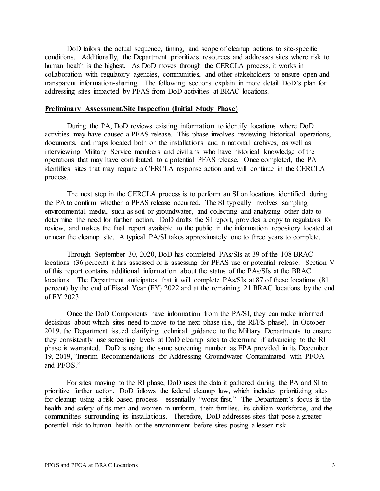DoD tailors the actual sequence, timing, and scope of cleanup actions to site-specific conditions. Additionally, the Department prioritizes resources and addresses sites where risk to human health is the highest. As DoD moves through the CERCLA process, it works in collaboration with regulatory agencies, communities, and other stakeholders to ensure open and transparent information-sharing. The following sections explain in more detail DoD's plan for addressing sites impacted by PFAS from DoD activities at BRAC locations.

#### <span id="page-5-0"></span>**Preliminary Assessment/Site Inspection (Initial Study Phase)**

During the PA, DoD reviews existing information to identify locations where DoD activities may have caused a PFAS release. This phase involves reviewing historical operations, documents, and maps located both on the installations and in national archives, as well as interviewing Military Service members and civilians who have historical knowledge of the operations that may have contributed to a potential PFAS release. Once completed, the PA identifies sites that may require a CERCLA response action and will continue in the CERCLA process.

The next step in the CERCLA process is to perform an SI on locations identified during the PA to confirm whether a PFAS release occurred. The SI typically involves sampling environmental media, such as soil or groundwater, and collecting and analyzing other data to determine the need for further action. DoD drafts the SI report, provides a copy to regulators for review, and makes the final report available to the public in the information repository located at or near the cleanup site. A typical PA/SI takes approximately one to three years to complete.

Through September 30, 2020, DoD has completed PAs/SIs at 39 of the 108 BRAC locations (36 percent) it has assessed or is assessing for PFAS use or potential release. Section V of this report contains additional information about the status of the PAs/SIs at the BRAC locations. The Department anticipates that it will complete PAs/SIs at 87 of these locations (81) percent) by the end of Fiscal Year (FY) 2022 and at the remaining 21 BRAC locations by the end of FY 2023.

Once the DoD Components have information from the PA/SI, they can make informed decisions about which sites need to move to the next phase (i.e., the RI/FS phase). In October 2019, the Department issued clarifying technical guidance to the Military Departments to ensure they consistently use screening levels at DoD cleanup sites to determine if advancing to the RI phase is warranted. DoD is using the same screening number as EPA provided in its December 19, 2019, "Interim Recommendations for Addressing Groundwater Contaminated with PFOA and PFOS."

For sites moving to the RI phase, DoD uses the data it gathered during the PA and SI to prioritize further action. DoD follows the federal cleanup law, which includes prioritizing sites for cleanup using a risk-based process – essentially "worst first." The Department's focus is the health and safety of its men and women in uniform, their families, its civilian workforce, and the communities surrounding its installations. Therefore, DoD addresses sites that pose a greater potential risk to human health or the environment before sites posing a lesser risk.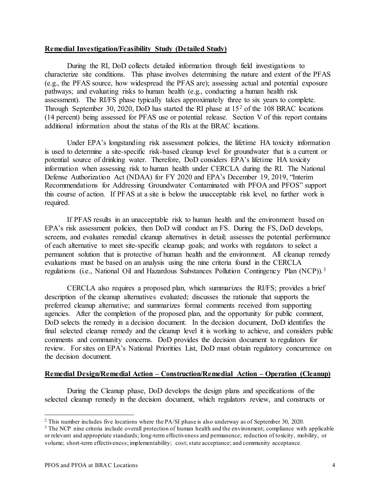#### <span id="page-6-0"></span>**Remedial Investigation/Feasibility Study (Detailed Study)**

During the RI, DoD collects detailed information through field investigations to characterize site conditions. This phase involves determining the nature and extent of the PFAS (e.g., the PFAS source, how widespread the PFAS are); assessing actual and potential exposure pathways; and evaluating risks to human health (e.g., conducting a human health risk assessment). The RI/FS phase typically takes approximately three to six years to complete. Through September 30, 2020, DoD has started the RI phase at 15[2](#page-6-2) of the 108 BRAC locations (14 percent) being assessed for PFAS use or potential release. Section V of this report contains additional information about the status of the RIs at the BRAC locations.

Under EPA's longstanding risk assessment policies, the lifetime HA toxicity information is used to determine a site-specific risk-based cleanup level for groundwater that is a current or potential source of drinking water. Therefore, DoD considers EPA's lifetime HA toxicity information when assessing risk to human health under CERCLA during the RI. The National Defense Authorization Act (NDAA) for FY 2020 and EPA's December 19, 2019, "Interim Recommendations for Addressing Groundwater Contaminated with PFOA and PFOS" support this course of action. If PFAS at a site is below the unacceptable risk level, no further work is required.

If PFAS results in an unacceptable risk to human health and the environment based on EPA's risk assessment policies, then DoD will conduct an FS. During the FS, DoD develops, screens, and evaluates remedial cleanup alternatives in detail; assesses the potential performance of each alternative to meet site-specific cleanup goals; and works with regulators to select a permanent solution that is protective of human health and the environment. All cleanup remedy evaluations must be based on an analysis using the nine criteria found in the CERCLA regulations (i.e., National Oil and Hazardous Substances Pollution Contingency Plan (NCP)).<sup>[3](#page-6-3)</sup>

CERCLA also requires a proposed plan, which summarizes the RI/FS; provides a brief description of the cleanup alternatives evaluated; discusses the rationale that supports the preferred cleanup alternative; and summarizes formal comments received from supporting agencies. After the completion of the proposed plan, and the opportunity for public comment, DoD selects the remedy in a decision document. In the decision document, DoD identifies the final selected cleanup remedy and the cleanup level it is working to achieve, and considers public comments and community concerns. DoD provides the decision document to regulators for review. For sites on EPA's National Priorities List, DoD must obtain regulatory concurrence on the decision document.

#### <span id="page-6-1"></span>**Remedial Design/Remedial Action – Construction/Remedial Action – Operation (Cleanup)**

During the Cleanup phase, DoD develops the design plans and specifications of the selected cleanup remedy in the decision document, which regulators review, and constructs or

<span id="page-6-2"></span><sup>2</sup> This number includes five locations where the PA/SI phase is also underway as of September 30, 2020.

<span id="page-6-3"></span><sup>&</sup>lt;sup>3</sup> The NCP nine criteria include overall protection of human health and the environment; compliance with applicable or relevant and appropriate standards; long-term effectiveness and permanence; reduction of toxicity, mobility, or volume; short-term effectiveness; implementability; cost; state acceptance; and community acceptance.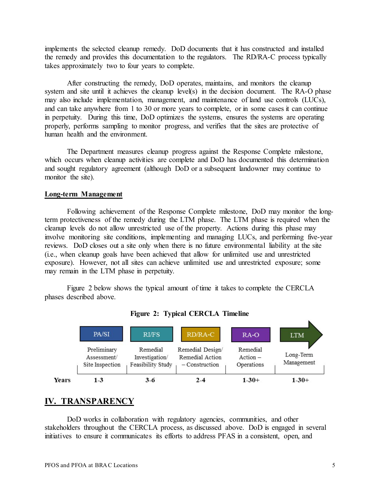implements the selected cleanup remedy. DoD documents that it has constructed and installed the remedy and provides this documentation to the regulators. The RD/RA-C process typically takes approximately two to four years to complete.

After constructing the remedy, DoD operates, maintains, and monitors the cleanup system and site until it achieves the cleanup level(s) in the decision document. The RA-O phase may also include implementation, management, and maintenance of land use controls (LUCs), and can take anywhere from 1 to 30 or more years to complete, or in some cases it can continue in perpetuity. During this time, DoD optimizes the systems, ensures the systems are operating properly, performs sampling to monitor progress, and verifies that the sites are protective of human health and the environment.

The Department measures cleanup progress against the Response Complete milestone, which occurs when cleanup activities are complete and DoD has documented this determination and sought regulatory agreement (although DoD or a subsequent landowner may continue to monitor the site).

#### <span id="page-7-0"></span>**Long-term Management**

Following achievement of the Response Complete milestone, DoD may monitor the longterm protectiveness of the remedy during the LTM phase. The LTM phase is required when the cleanup levels do not allow unrestricted use of the property. Actions during this phase may involve monitoring site conditions, implementing and managing LUCs, and performing five-year reviews. DoD closes out a site only when there is no future environmental liability at the site (i.e., when cleanup goals have been achieved that allow for unlimited use and unrestricted exposure). However, not all sites can achieve unlimited use and unrestricted exposure; some may remain in the LTM phase in perpetuity.

Figure 2 below shows the typical amount of time it takes to complete the CERCLA phases described above.

<span id="page-7-2"></span>



# <span id="page-7-1"></span>**IV. TRANSPARENCY**

DoD works in collaboration with regulatory agencies, communities, and other stakeholders throughout the CERCLA process, as discussed above. DoD is engaged in several initiatives to ensure it communicates its efforts to address PFAS in a consistent, open, and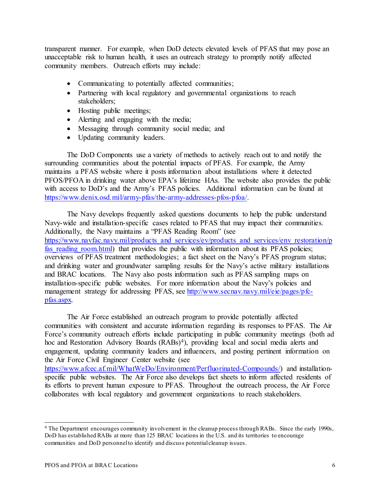transparent manner. For example, when DoD detects elevated levels of PFAS that may pose an unacceptable risk to human health, it uses an outreach strategy to promptly notify affected community members. Outreach efforts may include:

- Communicating to potentially affected communities;
- Partnering with local regulatory and governmental organizations to reach stakeholders;
- Hosting public meetings;
- Alerting and engaging with the media;
- Messaging through community social media; and
- Updating community leaders.

The DoD Components use a variety of methods to actively reach out to and notify the surrounding communities about the potential impacts of PFAS. For example, the Army maintains a PFAS website where it posts information about installations where it detected PFOS/PFOA in drinking water above EPA's lifetime HAs. The website also provides the public with access to DoD's and the Army's PFAS policies. Additional information can be found at [https://www.denix.osd.mil/army-pfas/the-army-addresses-pfos-pfoa/.](https://www.denix.osd.mil/army-pfas/the-army-addresses-pfos-pfoa/) 

The Navy develops frequently asked questions documents to help the public understand Navy-wide and installation-specific cases related to PFAS that may impact their communities. Additionally, the Navy maintains a "PFAS Reading Room" (see https://www.navfac.navy.mil/products\_and\_services/ev/products\_and\_services/env\_restoration/p fas reading room.html) that provides the public with information about its PFAS policies; overviews of PFAS treatment methodologies; a fact sheet on the Navy's PFAS program status; and drinking water and groundwater sampling results for the Navy's active military installations and BRAC locations. The Navy also posts information such as PFAS sampling maps on installation-specific public websites. For more information about the Navy's policies and management strategy for addressing PFAS, see [http://www.secnav.navy.mil/eie/pages/pfc](http://www.secnav.navy.mil/eie/pages/pfc-pfas.aspx)[pfas.aspx.](http://www.secnav.navy.mil/eie/pages/pfc-pfas.aspx) 

The Air Force established an outreach program to provide potentially affected communities with consistent and accurate information regarding its responses to PFAS. The Air Force's community outreach efforts include participating in public community meetings (both ad hoc and Restoration Advisory Boards (RABs)<sup>[4](#page-8-0)</sup>), providing local and social media alerts and engagement, updating community leaders and influencers, and posting pertinent information on the Air Force Civil Engineer Center website (see [https://www.afcec.af.mil/WhatWeDo/Environment/Perfluorinated-Compounds/\)](https://www.afcec.af.mil/WhatWeDo/Environment/Perfluorinated-Compounds/) and installationspecific public websites. The Air Force also develops fact sheets to inform affected residents of its efforts to prevent human exposure to PFAS. Throughout the outreach process, the Air Force collaborates with local regulatory and government organizations to reach stakeholders.

<span id="page-8-0"></span><sup>4</sup> The Department encourages community involvement in the cleanup process through RABs. Since the early 1990s, DoD has established RABs at more than 125 BRAC locations in the U.S. and its territories to encourage communities and DoD personnel to identify and discuss potential cleanup issues.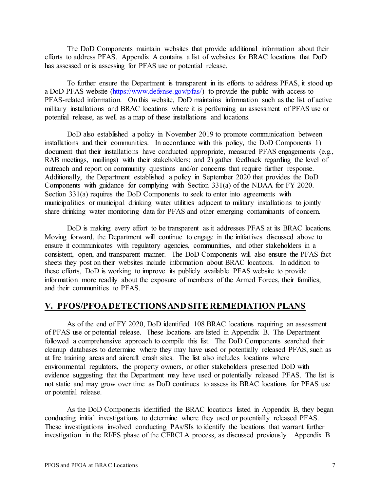The DoD Components maintain websites that provide additional information about their efforts to address PFAS. Appendix A contains a list of websites for BRAC locations that DoD has assessed or is assessing for PFAS use or potential release.

To further ensure the Department is transparent in its efforts to address PFAS, it stood up a DoD PFAS website [\(https://www.defense.gov/pfas/\)](https://www.defense.gov/pfas/) to provide the public with access to PFAS-related information. On this website, DoD maintains information such as the list of active military installations and BRAC locations where it is performing an assessment of PFAS use or potential release, as well as a map of these installations and locations.

DoD also established a policy in November 2019 to promote communication between installations and their communities. In accordance with this policy, the DoD Components 1) document that their installations have conducted appropriate, measured PFAS engagements (e.g., RAB meetings, mailings) with their stakeholders; and 2) gather feedback regarding the level of outreach and report on community questions and/or concerns that require further response. Additionally, the Department established a policy in September 2020 that provides the DoD Components with guidance for complying with Section 331(a) of the NDAA for FY 2020. Section 331(a) requires the DoD Components to seek to enter into agreements with municipalities or municipal drinking water utilities adjacent to military installations to jointly share drinking water monitoring data for PFAS and other emerging contaminants of concern.

DoD is making every effort to be transparent as it addresses PFAS at its BRAC locations. Moving forward, the Department will continue to engage in the initiatives discussed above to ensure it communicates with regulatory agencies, communities, and other stakeholders in a consistent, open, and transparent manner. The DoD Components will also ensure the PFAS fact sheets they post on their websites include information about BRAC locations. In addition to these efforts, DoD is working to improve its publicly available PFAS website to provide information more readily about the exposure of members of the Armed Forces, their families, and their communities to PFAS.

## <span id="page-9-0"></span>**V. PFOS/PFOADETECTIONS AND SITE REMEDIATION PLANS**

As of the end of FY 2020, DoD identified 108 BRAC locations requiring an assessment of PFAS use or potential release. These locations are listed in Appendix B. The Department followed a comprehensive approach to compile this list. The DoD Components searched their cleanup databases to determine where they may have used or potentially released PFAS, such as at fire training areas and aircraft crash sites. The list also includes locations where environmental regulators, the property owners, or other stakeholders presented DoD with evidence suggesting that the Department may have used or potentially released PFAS. The list is not static and may grow over time as DoD continues to assess its BRAC locations for PFAS use or potential release.

As the DoD Components identified the BRAC locations listed in Appendix B, they began conducting initial investigations to determine where they used or potentially released PFAS. These investigations involved conducting PAs/SIs to identify the locations that warrant further investigation in the RI/FS phase of the CERCLA process, as discussed previously. Appendix B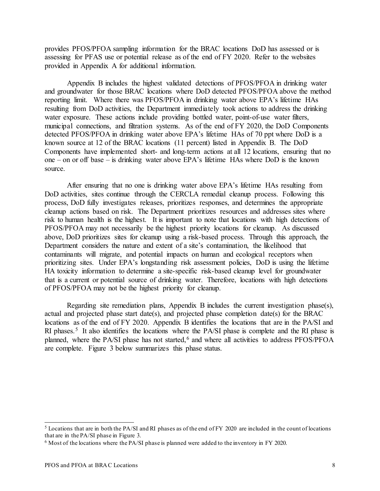provides PFOS/PFOA sampling information for the BRAC locations DoD has assessed or is assessing for PFAS use or potential release as of the end of FY 2020. Refer to the websites provided in Appendix A for additional information.

Appendix B includes the highest validated detections of PFOS/PFOA in drinking water and groundwater for those BRAC locations where DoD detected PFOS/PFOA above the method reporting limit. Where there was PFOS/PFOA in drinking water above EPA's lifetime HAs resulting from DoD activities, the Department immediately took actions to address the drinking water exposure. These actions include providing bottled water, point-of-use water filters, municipal connections, and filtration systems. As of the end of FY 2020, the DoD Components detected PFOS/PFOA in drinking water above EPA's lifetime HAs of 70 ppt where DoD is a known source at 12 of the BRAC locations (11 percent) listed in Appendix B. The DoD Components have implemented short- and long-term actions at all 12 locations, ensuring that no one – on or off base – is drinking water above EPA's lifetime HAs where DoD is the known source.

After ensuring that no one is drinking water above EPA's lifetime HAs resulting from DoD activities, sites continue through the CERCLA remedial cleanup process. Following this process, DoD fully investigates releases, prioritizes responses, and determines the appropriate cleanup actions based on risk. The Department prioritizes resources and addresses sites where risk to human health is the highest. It is important to note that locations with high detections of PFOS/PFOA may not necessarily be the highest priority locations for cleanup. As discussed above, DoD prioritizes sites for cleanup using a risk-based process. Through this approach, the Department considers the nature and extent of a site's contamination, the likelihood that contaminants will migrate, and potential impacts on human and ecological receptors when prioritizing sites. Under EPA's longstanding risk assessment policies, DoD is using the lifetime HA toxicity information to determine a site-specific risk-based cleanup level for groundwater that is a current or potential source of drinking water. Therefore, locations with high detections of PFOS/PFOA may not be the highest priority for cleanup.

Regarding site remediation plans, Appendix B includes the current investigation phase(s), actual and projected phase start date(s), and projected phase completion date(s) for the BRAC locations as of the end of FY 2020. Appendix B identifies the locations that are in the PA/SI and RI phases.<sup>5</sup> It also identifies the locations where the PA/SI phase is complete and the RI phase is planned, where the PA/SI phase has not started,<sup>6</sup> and where all activities to address  $PFOS/PFOA$ are complete. Figure 3 below summarizes this phase status.

<span id="page-10-1"></span><span id="page-10-0"></span><sup>5</sup> Locations that are in both the PA/SI and RI phases as of the end of FY 2020 are included in the count of locations that are in the PA/SI phase in Figure 3.

<span id="page-10-2"></span><sup>6</sup> Most of the locations where the PA/SI phase is planned were added to the inventory in FY 2020.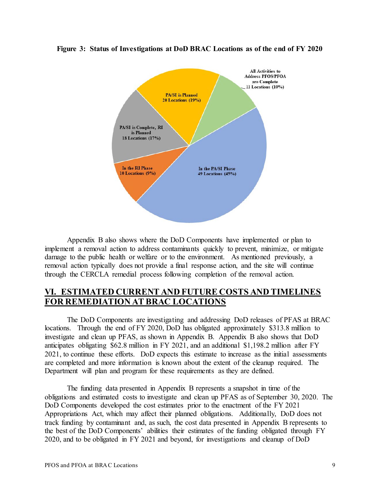

**Figure 3: Status of Investigations at DoD BRAC Locations as of the end of FY 2020** 

Appendix B also shows where the DoD Components have implemented or plan to implement a removal action to address contaminants quickly to prevent, minimize, or mitigate damage to the public health or welfare or to the environment. As mentioned previously, a removal action typically does not provide a final response action, and the site will continue through the CERCLA remedial process following completion of the removal action.

# <span id="page-11-0"></span>**VI. ESTIMATED CURRENT AND FUTURE COSTS AND TIMELINES FOR REMEDIATION AT BRAC LOCATIONS**

The DoD Components are investigating and addressing DoD releases of PFAS at BRAC locations. Through the end of FY 2020, DoD has obligated approximately \$313.8 million to investigate and clean up PFAS, as shown in Appendix B. Appendix B also shows that DoD anticipates obligating \$62.8 million in FY 2021, and an additional \$1,198.2 million after FY 2021, to continue these efforts. DoD expects this estimate to increase as the initial assessments are completed and more information is known about the extent of the cleanup required. The Department will plan and program for these requirements as they are defined.

The funding data presented in Appendix B represents a snapshot in time of the obligations and estimated costs to investigate and clean up PFAS as of September 30, 2020. The DoD Components developed the cost estimates prior to the enactment of the FY 2021 Appropriations Act, which may affect their planned obligations. Additionally, DoD does not track funding by contaminant and, as such, the cost data presented in Appendix B represents to the best of the DoD Components' abilities their estimates of the funding obligated through FY 2020, and to be obligated in FY 2021 and beyond, for investigations and cleanup of DoD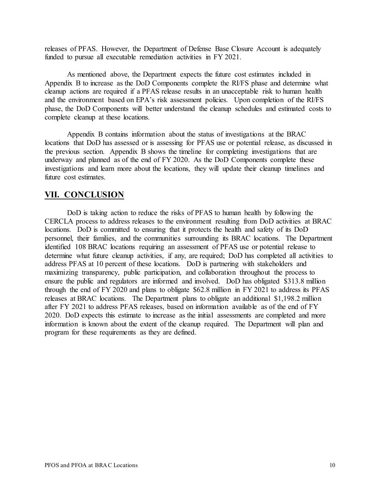releases of PFAS. However, the Department of Defense Base Closure Account is adequately funded to pursue all executable remediation activities in FY 2021.

As mentioned above, the Department expects the future cost estimates included in Appendix B to increase as the DoD Components complete the RI/FS phase and determine what cleanup actions are required if a PFAS release results in an unacceptable risk to human health and the environment based on EPA's risk assessment policies. Upon completion of the RI/FS phase, the DoD Components will better understand the cleanup schedules and estimated costs to complete cleanup at these locations.

Appendix B contains information about the status of investigations at the BRAC locations that DoD has assessed or is assessing for PFAS use or potential release, as discussed in the previous section. Appendix B shows the timeline for completing investigations that are underway and planned as of the end of FY 2020. As the DoD Components complete these investigations and learn more about the locations, they will update their cleanup timelines and future cost estimates.

## <span id="page-12-0"></span>**VII. CONCLUSION**

DoD is taking action to reduce the risks of PFAS to human health by following the CERCLA process to address releases to the environment resulting from DoD activities at BRAC locations. DoD is committed to ensuring that it protects the health and safety of its DoD personnel, their families, and the communities surrounding its BRAC locations. The Department identified 108 BRAC locations requiring an assessment of PFAS use or potential release to determine what future cleanup activities, if any, are required; DoD has completed all activities to address PFAS at 10 percent of these locations. DoD is partnering with stakeholders and maximizing transparency, public participation, and collaboration throughout the process to ensure the public and regulators are informed and involved. DoD has obligated \$313.8 million through the end of FY 2020 and plans to obligate \$62.8 million in FY 2021 to address its PFAS releases at BRAC locations. The Department plans to obligate an additional \$1,198.2 million after FY 2021 to address PFAS releases, based on information available as of the end of FY 2020. DoD expects this estimate to increase as the initial assessments are completed and more information is known about the extent of the cleanup required. The Department will plan and program for these requirements as they are defined.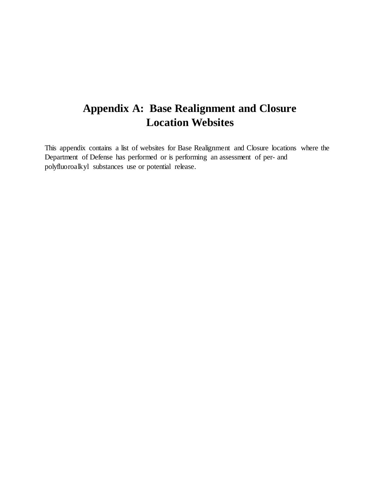This appendix contains a list of websites for Base Realignment and Closure locations where the Department of Defense has performed or is performing an assessment of per- and polyfluoroalkyl substances use or potential release.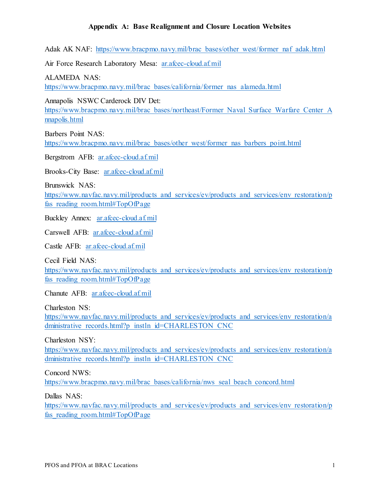Adak AK NAF: https://www.bracpmo.navy.mil/brac\_bases/other\_west/former\_naf\_adak.html

Air Force Research Laboratory Mesa: ar.afcec-cloud.af.mil

ALAMEDA NAS:

[https://www.bracpmo.navy.mil/brac\\_bases/california/former\\_nas\\_alameda.html](https://www.bracpmo.navy.mil/brac_bases/california/former_nas_alameda.html) 

Annapolis NSWC Carderock DIV Det:

https://www.bracpmo.navy.mil/brac\_bases/northeast/Former\_Naval\_Surface\_Warfare\_Center\_A [nnapolis.html](https://www.bracpmo.navy.mil/brac_bases/northeast/Former_Naval_Surface_Warfare_Center_Annapolis.html) 

Barbers Point NAS: [https://www.bracpmo.navy.mil/brac\\_bases/other\\_west/former\\_nas\\_barbers\\_point.html](https://www.bracpmo.navy.mil/brac_bases/other_west/former_nas_barbers_point.html) 

Bergstrom AFB: [ar.afcec-cloud.af.mil](https://ar.afcec-cloud.af.mil)

Brooks-City Base: [ar.afcec-cloud.af.mil](https://ar.afcec-cloud.af.mil) 

Brunswick NAS:

https://www.navfac.navy.mil/products and services/ev/products and services/env restoration/p fas\_reading\_room.html#TopOfPage

Buckley Annex: [ar.afcec-cloud.af.mil](https://ar.afcec-cloud.af.mil)

Carswell AFB: [ar.afcec-cloud.af.mil](https://ar.afcec-cloud.af.mil)

Castle AFB: [ar.afcec-cloud.af.mil](https://ar.afcec-cloud.af.mil)

Cecil Field NAS:

https://www.navfac.navy.mil/products and services/ev/products and services/env restoration/p fas\_reading\_room.html#TopOfPage

Chanute AFB: [ar.afcec-cloud.af.mil](https://ar.afcec-cloud.af.mil)

Charleston NS:

https://www.navfac.navy.mil/products and services/ev/products and services/env restoration/a dministrative\_records.html?p\_instln\_id=CHARLESTON\_CNC

Charleston NSY:

https://www.navfac.navy.mil/products and services/ev/products and services/env restoration/a dministrative\_records.html?p\_instln\_id=CHARLESTON\_CNC

Concord NWS:

[https://www.bracpmo.navy.mil/brac\\_bases/california/nws\\_seal\\_beach\\_concord.html](https://www.bracpmo.navy.mil/brac_bases/california/nws_seal_beach_concord.html) 

Dallas NAS:

https://www.navfac.navy.mil/products and services/ev/products and services/env restoration/p fas\_reading\_room.html#TopOfPage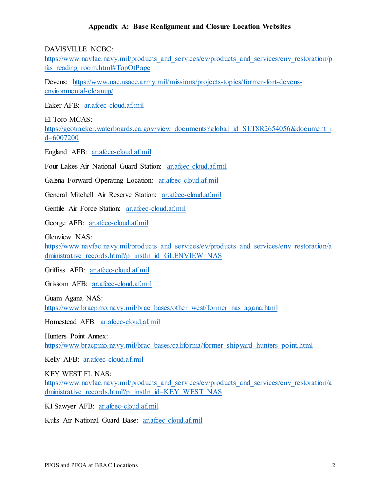DAVISVILLE NCBC:

https://www.navfac.navy.mil/products\_and\_services/ev/products\_and\_services/env\_restoration/p fas\_reading\_room.html#TopOfPage

Devens: [https://www.nae.usace.army.mil/missions/projects-topics/former-fort-devens](https://www.nae.usace.army.mil/missions/projects-topics/former-fort-devens-environmental-cleanup/)[environmental-cleanup/](https://www.nae.usace.army.mil/missions/projects-topics/former-fort-devens-environmental-cleanup/) 

Eaker AFB: [ar.afcec-cloud.af.mil](https://ar.afcec-cloud.af.mil)

El Toro MCAS:

https://geotracker.waterboards.ca.gov/view\_documents?global\_id=SLT8R2654056&document\_i [d=6007200](https://geotracker.waterboards.ca.gov/view_documents?global_id=SLT8R2654056&document_id=6007200) 

England AFB: [ar.afcec-cloud.af.mil](https://ar.afcec-cloud.af.mil)

Four Lakes Air National Guard Station: [ar.afcec-cloud.af.mil](https://ar.afcec-cloud.af.mil) 

Galena Forward Operating Location: [ar.afcec-cloud.af.mil](https://ar.afcec-cloud.af.mil)

General Mitchell Air Reserve Station: [ar.afcec-cloud.af.mil](https://ar.afcec-cloud.af.mil)

Gentile Air Force Station: [ar.afcec-cloud.af.mil](https://ar.afcec-cloud.af.mil) 

George AFB: [ar.afcec-cloud.af.mil](https://ar.afcec-cloud.af.mil) 

Glenview NAS:

https://www.navfac.navy.mil/products and services/ev/products and services/env restoration/a dministrative\_records.html?p\_instln\_id=GLENVIEW\_NAS

Griffiss AFB: [ar.afcec-cloud.af.mil](https://ar.afcec-cloud.af.mil)

Grissom AFB: [ar.afcec-cloud.af.mil](https://ar.afcec-cloud.af.mil) 

Guam Agana NAS: [https://www.bracpmo.navy.mil/brac\\_bases/other\\_west/former\\_nas\\_agana.html](https://www.bracpmo.navy.mil/brac_bases/other_west/former_nas_agana.html) 

Homestead AFB: [ar.afcec-cloud.af.mil](https://ar.afcec-cloud.af.mil)

Hunters Point Annex: [https://www.bracpmo.navy.mil/brac\\_bases/california/former\\_shipyard\\_hunters\\_point.html](https://www.bracpmo.navy.mil/brac_bases/california/former_shipyard_hunters_point.html) 

Kelly AFB: [ar.afcec-cloud.af.mil](https://ar.afcec-cloud.af.mil)

KEY WEST FL NAS: https://www.navfac.navy.mil/products\_and\_services/ev/products\_and\_services/env\_restoration/a dministrative\_records.html?p\_instln\_id=KEY\_WEST\_NAS

KI Sawyer AFB: [ar.afcec-cloud.af.mil](https://ar.afcec-cloud.af.mil)

Kulis Air National Guard Base: ar.afcec-cloud.af.mil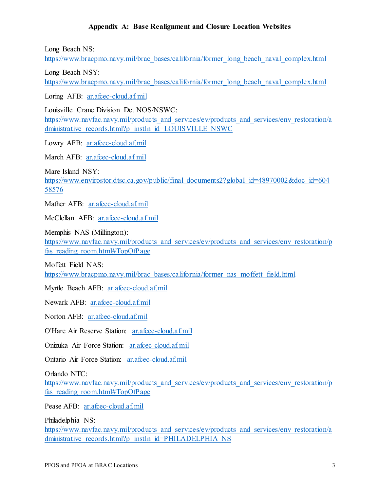Long Beach NS:

[https://www.bracpmo.navy.mil/brac\\_bases/california/former\\_long\\_beach\\_naval\\_complex.html](https://www.bracpmo.navy.mil/brac_bases/california/former_long_beach_naval_complex.html) 

Long Beach NSY:

[https://www.bracpmo.navy.mil/brac\\_bases/california/former\\_long\\_beach\\_naval\\_complex.html](https://www.bracpmo.navy.mil/brac_bases/california/former_long_beach_naval_complex.html) 

Loring AFB: [ar.afcec-cloud.af.mil](https://ar.afcec-cloud.af.mil)

Louisville Crane Division Det NOS/NSWC: https://www.navfac.navy.mil/products\_and\_services/ev/products\_and\_services/env\_restoration/a dministrative\_records.html?p\_instln\_id=LOUISVILLE\_NSWC

Lowry AFB: ar.afcec-cloud.af.mil

March AFB: ar.afcec-cloud.af.mil

Mare Island NSY:

https://www.envirostor.dtsc.ca.gov/public/final\_documents2?global\_id=48970002&doc\_id=604 [58576](https://www.envirostor.dtsc.ca.gov/public/final_documents2?global_id=48970002&doc_id=60458576) 

Mather AFB: [ar.afcec-cloud.af.mil](https://ar.afcec-cloud.af.mil) 

McClellan AFB: [ar.afcec-cloud.af.mil](https://ar.afcec-cloud.af.mil)

Memphis NAS (Millington): https://www.navfac.navy.mil/products and services/ev/products and services/env restoration/p fas\_reading\_room.html#TopOfPage

Moffett Field NAS: [https://www.bracpmo.navy.mil/brac\\_bases/california/former\\_nas\\_moffett\\_field.html](https://www.bracpmo.navy.mil/brac_bases/california/former_nas_moffett_field.html) 

Myrtle Beach AFB: [ar.afcec-cloud.af.mil](https://ar.afcec-cloud.af.mil)

Newark AFB: ar.afcec-cloud.af.mil

Norton AFB: [ar.afcec-cloud.af.mil](https://ar.afcec-cloud.af.mil)

O'Hare Air Reserve Station: [ar.afcec-cloud.af.mil](https://ar.afcec-cloud.af.mil)

Onizuka Air Force Station: ar.afcec-cloud.af.mil

Ontario Air Force Station: ar.afcec-cloud.af.mil

Orlando NTC:

https://www.navfac.navy.mil/products and services/ev/products and services/env restoration/p fas\_reading\_room.html#TopOfPage

Pease AFB: [ar.afcec-cloud.af.mil](https://ar.afcec-cloud.af.mil)

Philadelphia NS:

https://www.navfac.navy.mil/products\_and\_services/ev/products\_and\_services/env\_restoration/a dministrative\_records.html?p\_instln\_id=PHILADELPHIA\_NS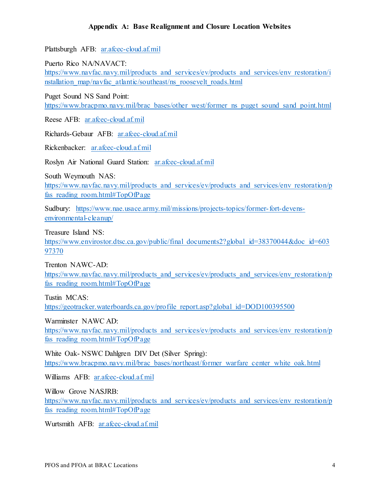Plattsburgh AFB: [ar.afcec-cloud.af.mil](https://ar.afcec-cloud.af.mil)

Puerto Rico NA/NAVACT:

https://www.navfac.navy.mil/products and services/ev/products and services/env restoration/i [nstallation\\_map/navfac\\_atlantic/southeast/ns\\_roosevelt\\_roads.html](https://www.navfac.navy.mil/products_and_services/ev/products_and_services/env_restoration/installation_map/navfac_atlantic/southeast/ns_roosevelt_roads.html) 

Puget Sound NS Sand Point:

[https://www.bracpmo.navy.mil/brac\\_bases/other\\_west/former\\_ns\\_puget\\_sound\\_sand\\_point.html](https://www.bracpmo.navy.mil/brac_bases/other_west/former_ns_puget_sound_sand_point.html) 

Reese AFB: [ar.afcec-cloud.af.mil](https://ar.afcec-cloud.af.mil) 

Richards-Gebaur AFB: [ar.afcec-cloud.af.mil](https://ar.afcec-cloud.af.mil)

Rickenbacker: [ar.afcec-cloud.af.mil](https://ar.afcec-cloud.af.mil)

Roslyn Air National Guard Station: [ar.afcec-cloud.af.mil](https://ar.afcec-cloud.af.mil)

South Weymouth NAS: https://www.navfac.navy.mil/products and services/ev/products and services/env restoration/p fas\_reading\_room.html#TopOfPage

Sudbury: [https://www.nae.usace.army.mil/missions/projects-topics/former-fort-devens](https://www.nae.usace.army.mil/missions/projects-topics/former-fort-devens-environmental-cleanup/)[environmental-cleanup/](https://www.nae.usace.army.mil/missions/projects-topics/former-fort-devens-environmental-cleanup/) 

Treasure Island NS:

https://www.envirostor.dtsc.ca.gov/public/final\_documents2?global\_id=38370044&doc\_id=603 [97370](https://www.envirostor.dtsc.ca.gov/public/final_documents2?global_id=38370044&doc_id=60397370) 

Trenton NAWC-AD:

https://www.navfac.navy.mil/products and services/ev/products and services/env restoration/p fas\_reading\_room.html#TopOfPage

Tustin MCAS:

https://geotracker.waterboards.ca.gov/profile\_report.asp?global\_id=DOD100395500

Warminster NAWC AD:

https://www.navfac.navy.mil/products and services/ev/products and services/env restoration/p [fas\\_reading\\_room.html#TopOfPage](https://www.navfac.navy.mil/products_and_services/ev/products_and_services/env_restoration/pfas_reading_room.html#TopOfPage) 

White Oak- NSWC Dahlgren DIV Det (Silver Spring): [https://www.bracpmo.navy.mil/brac\\_bases/northeast/former\\_warfare\\_center\\_white\\_oak.html](https://www.bracpmo.navy.mil/brac_bases/northeast/former_warfare_center_white_oak.html) 

Williams AFB: [ar.afcec-cloud.af.mil](https://ar.afcec-cloud.af.mil) 

Willow Grove NASJRB:

https://www.navfac.navy.mil/products and services/ev/products and services/env restoration/p fas\_reading\_room.html#TopOfPage

Wurtsmith AFB: [ar.afcec-cloud.af.mil](https://ar.afcec-cloud.af.mil)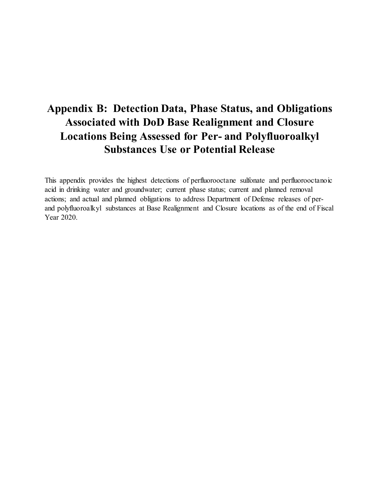This appendix provides the highest detections of perfluorooctane sulfonate and perfluorooctanoic acid in drinking water and groundwater; current phase status; current and planned removal actions; and actual and planned obligations to address Department of Defense releases of perand polyfluoroalkyl substances at Base Realignment and Closure locations as of the end of Fiscal Year 2020.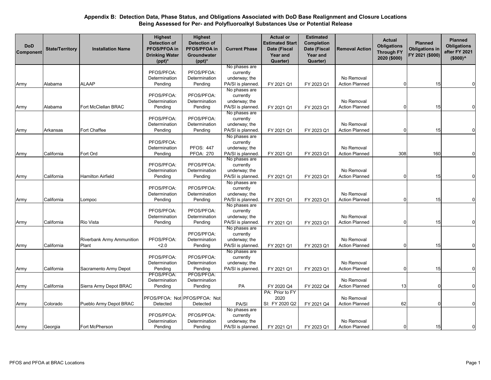| PFOS/PFOA:<br>PFOS/PFOA:<br>currently<br>underway; the<br>Determination<br>Determination<br>No Removal<br><b>ALAAP</b><br>PA/SI is planned.<br><b>Action Planned</b><br>Alabama<br>Pending<br>Pending<br>FY 2023 Q1<br>15<br>FY 2021 Q1<br>$\Omega$<br>Army<br>No phases are<br>PFOS/PFOA:<br>PFOS/PFOA:<br>currently<br>Determination<br>No Removal<br>Determination<br>underway; the<br>Fort McClellan BRAC<br>PA/SI is planned.<br><b>Action Planned</b><br>Alabama<br>Pending<br>Pending<br>15<br>Army<br>FY 2021 Q1<br>FY 2023 Q1<br>$\Omega$<br>No phases are<br>PFOS/PFOA:<br>PFOS/PFOA:<br>currently<br>Determination<br>Determination<br>underway; the<br>No Removal<br>Fort Chaffee<br>Pending<br>Pending<br>PA/SI is planned.<br>FY 2023 Q1<br><b>Action Planned</b><br>15<br>Army<br>Arkansas<br>FY 2021 Q1<br>$\Omega$<br>No phases are | <b>DoD</b><br>Component | <b>State/Territory</b> | <b>Installation Name</b> | <b>Highest</b><br><b>Detection of</b><br>PFOS/PFOA in<br><b>Drinking Water</b><br>$(ppt)^*$ | <b>Highest</b><br><b>Detection of</b><br>PFOS/PFOA in<br>Groundwater<br>$(ppt)^*$ | <b>Current Phase</b> | <b>Actual or</b><br>Estimated Start<br>Date (Fiscal<br>Year and<br>Quarter) | <b>Estimated</b><br>Completion<br>Date (Fiscal<br>Year and<br>Quarter) | <b>Removal Action</b> | <b>Actual</b><br><b>Obligations</b><br><b>Through FY</b><br>2020 (\$000) | <b>Planned</b><br><b>Obligations in</b><br>FY 2021 (\$000) | <b>Planned</b><br><b>Obligations</b><br>after FY 2021<br>$($000)^<$ |
|------------------------------------------------------------------------------------------------------------------------------------------------------------------------------------------------------------------------------------------------------------------------------------------------------------------------------------------------------------------------------------------------------------------------------------------------------------------------------------------------------------------------------------------------------------------------------------------------------------------------------------------------------------------------------------------------------------------------------------------------------------------------------------------------------------------------------------------------------|-------------------------|------------------------|--------------------------|---------------------------------------------------------------------------------------------|-----------------------------------------------------------------------------------|----------------------|-----------------------------------------------------------------------------|------------------------------------------------------------------------|-----------------------|--------------------------------------------------------------------------|------------------------------------------------------------|---------------------------------------------------------------------|
|                                                                                                                                                                                                                                                                                                                                                                                                                                                                                                                                                                                                                                                                                                                                                                                                                                                      |                         |                        |                          |                                                                                             |                                                                                   | No phases are        |                                                                             |                                                                        |                       |                                                                          |                                                            |                                                                     |
|                                                                                                                                                                                                                                                                                                                                                                                                                                                                                                                                                                                                                                                                                                                                                                                                                                                      |                         |                        |                          |                                                                                             |                                                                                   |                      |                                                                             |                                                                        |                       |                                                                          |                                                            |                                                                     |
|                                                                                                                                                                                                                                                                                                                                                                                                                                                                                                                                                                                                                                                                                                                                                                                                                                                      |                         |                        |                          |                                                                                             |                                                                                   |                      |                                                                             |                                                                        |                       |                                                                          |                                                            | $\Omega$                                                            |
|                                                                                                                                                                                                                                                                                                                                                                                                                                                                                                                                                                                                                                                                                                                                                                                                                                                      |                         |                        |                          |                                                                                             |                                                                                   |                      |                                                                             |                                                                        |                       |                                                                          |                                                            |                                                                     |
|                                                                                                                                                                                                                                                                                                                                                                                                                                                                                                                                                                                                                                                                                                                                                                                                                                                      |                         |                        |                          |                                                                                             |                                                                                   |                      |                                                                             |                                                                        |                       |                                                                          |                                                            |                                                                     |
|                                                                                                                                                                                                                                                                                                                                                                                                                                                                                                                                                                                                                                                                                                                                                                                                                                                      |                         |                        |                          |                                                                                             |                                                                                   |                      |                                                                             |                                                                        |                       |                                                                          |                                                            |                                                                     |
|                                                                                                                                                                                                                                                                                                                                                                                                                                                                                                                                                                                                                                                                                                                                                                                                                                                      |                         |                        |                          |                                                                                             |                                                                                   |                      |                                                                             |                                                                        |                       |                                                                          |                                                            | $\Omega$                                                            |
|                                                                                                                                                                                                                                                                                                                                                                                                                                                                                                                                                                                                                                                                                                                                                                                                                                                      |                         |                        |                          |                                                                                             |                                                                                   |                      |                                                                             |                                                                        |                       |                                                                          |                                                            |                                                                     |
|                                                                                                                                                                                                                                                                                                                                                                                                                                                                                                                                                                                                                                                                                                                                                                                                                                                      |                         |                        |                          |                                                                                             |                                                                                   |                      |                                                                             |                                                                        |                       |                                                                          |                                                            |                                                                     |
|                                                                                                                                                                                                                                                                                                                                                                                                                                                                                                                                                                                                                                                                                                                                                                                                                                                      |                         |                        |                          |                                                                                             |                                                                                   |                      |                                                                             |                                                                        |                       |                                                                          |                                                            |                                                                     |
|                                                                                                                                                                                                                                                                                                                                                                                                                                                                                                                                                                                                                                                                                                                                                                                                                                                      |                         |                        |                          |                                                                                             |                                                                                   |                      |                                                                             |                                                                        |                       |                                                                          |                                                            | 0                                                                   |
|                                                                                                                                                                                                                                                                                                                                                                                                                                                                                                                                                                                                                                                                                                                                                                                                                                                      |                         |                        |                          |                                                                                             |                                                                                   |                      |                                                                             |                                                                        |                       |                                                                          |                                                            |                                                                     |
|                                                                                                                                                                                                                                                                                                                                                                                                                                                                                                                                                                                                                                                                                                                                                                                                                                                      |                         |                        |                          | PFOS/PFOA:                                                                                  |                                                                                   | currently            |                                                                             |                                                                        |                       |                                                                          |                                                            |                                                                     |
| <b>PFOS: 447</b><br>Determination<br>underway; the<br>No Removal                                                                                                                                                                                                                                                                                                                                                                                                                                                                                                                                                                                                                                                                                                                                                                                     |                         |                        |                          |                                                                                             |                                                                                   |                      |                                                                             |                                                                        |                       |                                                                          |                                                            |                                                                     |
| California<br>Fort Ord<br><b>PFOA: 270</b><br>PA/SI is planned.<br>FY 2021 Q1<br>FY 2023 Q1<br><b>Action Planned</b><br>308<br>160<br>Pending<br>Army                                                                                                                                                                                                                                                                                                                                                                                                                                                                                                                                                                                                                                                                                                |                         |                        |                          |                                                                                             |                                                                                   |                      |                                                                             |                                                                        |                       |                                                                          |                                                            | 0                                                                   |
| No phases are                                                                                                                                                                                                                                                                                                                                                                                                                                                                                                                                                                                                                                                                                                                                                                                                                                        |                         |                        |                          |                                                                                             |                                                                                   |                      |                                                                             |                                                                        |                       |                                                                          |                                                            |                                                                     |
| PFOS/PFOA:<br>PFOS/PFOA:<br>currently                                                                                                                                                                                                                                                                                                                                                                                                                                                                                                                                                                                                                                                                                                                                                                                                                |                         |                        |                          |                                                                                             |                                                                                   |                      |                                                                             |                                                                        |                       |                                                                          |                                                            |                                                                     |
| Determination<br>No Removal<br>Determination<br>underway; the<br>California<br><b>Hamilton Airfield</b><br>PA/SI is planned.<br><b>Action Planned</b><br>15<br>$\Omega$                                                                                                                                                                                                                                                                                                                                                                                                                                                                                                                                                                                                                                                                              |                         |                        |                          |                                                                                             |                                                                                   |                      |                                                                             |                                                                        |                       |                                                                          |                                                            |                                                                     |
| Pending<br>Pending<br>FY 2023 Q1<br>Army<br>FY 2021 Q1<br>No phases are                                                                                                                                                                                                                                                                                                                                                                                                                                                                                                                                                                                                                                                                                                                                                                              |                         |                        |                          |                                                                                             |                                                                                   |                      |                                                                             |                                                                        |                       |                                                                          |                                                            |                                                                     |
| PFOS/PFOA:<br>PFOS/PFOA:<br>currently                                                                                                                                                                                                                                                                                                                                                                                                                                                                                                                                                                                                                                                                                                                                                                                                                |                         |                        |                          |                                                                                             |                                                                                   |                      |                                                                             |                                                                        |                       |                                                                          |                                                            |                                                                     |
| Determination<br>Determination<br>underway; the<br>No Removal                                                                                                                                                                                                                                                                                                                                                                                                                                                                                                                                                                                                                                                                                                                                                                                        |                         |                        |                          |                                                                                             |                                                                                   |                      |                                                                             |                                                                        |                       |                                                                          |                                                            |                                                                     |
| PA/SI is planned.<br>FY 2023 Q1<br><b>Action Planned</b><br>California<br>Pending<br>Pending<br>FY 2021 Q1<br>15<br>Army<br>Lompoc                                                                                                                                                                                                                                                                                                                                                                                                                                                                                                                                                                                                                                                                                                                   |                         |                        |                          |                                                                                             |                                                                                   |                      |                                                                             |                                                                        |                       |                                                                          |                                                            |                                                                     |
| No phases are                                                                                                                                                                                                                                                                                                                                                                                                                                                                                                                                                                                                                                                                                                                                                                                                                                        |                         |                        |                          |                                                                                             |                                                                                   |                      |                                                                             |                                                                        |                       |                                                                          |                                                            |                                                                     |
| PFOS/PFOA:<br>PFOS/PFOA:<br>currently                                                                                                                                                                                                                                                                                                                                                                                                                                                                                                                                                                                                                                                                                                                                                                                                                |                         |                        |                          |                                                                                             |                                                                                   |                      |                                                                             |                                                                        |                       |                                                                          |                                                            |                                                                     |
| Determination<br>No Removal<br>Determination<br>underway; the                                                                                                                                                                                                                                                                                                                                                                                                                                                                                                                                                                                                                                                                                                                                                                                        |                         |                        |                          |                                                                                             |                                                                                   |                      |                                                                             |                                                                        |                       |                                                                          |                                                            |                                                                     |
| PA/SI is planned.<br>California<br>Rio Vista<br>Pending<br>Pending<br><b>Action Planned</b><br>15<br>Army<br>FY 2021 Q1<br>FY 2023 Q1<br>$\Omega$                                                                                                                                                                                                                                                                                                                                                                                                                                                                                                                                                                                                                                                                                                    |                         |                        |                          |                                                                                             |                                                                                   |                      |                                                                             |                                                                        |                       |                                                                          |                                                            | $\Omega$                                                            |
| No phases are                                                                                                                                                                                                                                                                                                                                                                                                                                                                                                                                                                                                                                                                                                                                                                                                                                        |                         |                        |                          |                                                                                             |                                                                                   |                      |                                                                             |                                                                        |                       |                                                                          |                                                            |                                                                     |
| PFOS/PFOA:<br>currently                                                                                                                                                                                                                                                                                                                                                                                                                                                                                                                                                                                                                                                                                                                                                                                                                              |                         |                        |                          |                                                                                             |                                                                                   |                      |                                                                             |                                                                        |                       |                                                                          |                                                            |                                                                     |
| PFOS/PFOA:<br>Determination<br>underway; the<br>No Removal<br>Riverbank Army Ammunition                                                                                                                                                                                                                                                                                                                                                                                                                                                                                                                                                                                                                                                                                                                                                              |                         |                        |                          |                                                                                             |                                                                                   |                      |                                                                             |                                                                        |                       |                                                                          |                                                            |                                                                     |
| California<br>Plant<br>PA/SI is planned.<br><b>Action Planned</b><br>15<br>2.0<br>Pending<br>Army<br>FY 2021 Q1<br>FY 2023 Q1                                                                                                                                                                                                                                                                                                                                                                                                                                                                                                                                                                                                                                                                                                                        |                         |                        |                          |                                                                                             |                                                                                   |                      |                                                                             |                                                                        |                       |                                                                          |                                                            | $\Omega$                                                            |
| No phases are                                                                                                                                                                                                                                                                                                                                                                                                                                                                                                                                                                                                                                                                                                                                                                                                                                        |                         |                        |                          |                                                                                             |                                                                                   |                      |                                                                             |                                                                        |                       |                                                                          |                                                            |                                                                     |
| PFOS/PFOA:<br>PFOS/PFOA:<br>currently                                                                                                                                                                                                                                                                                                                                                                                                                                                                                                                                                                                                                                                                                                                                                                                                                |                         |                        |                          |                                                                                             |                                                                                   |                      |                                                                             |                                                                        |                       |                                                                          |                                                            |                                                                     |
| No Removal<br>Determination<br>Determination<br>underway; the                                                                                                                                                                                                                                                                                                                                                                                                                                                                                                                                                                                                                                                                                                                                                                                        |                         |                        |                          |                                                                                             |                                                                                   |                      |                                                                             |                                                                        |                       |                                                                          |                                                            |                                                                     |
| California<br>Pending<br>Pending<br>PA/SI is planned.<br><b>Action Planned</b><br>15<br>Army<br>Sacramento Army Depot<br>FY 2021 Q1<br>FY 2023 Q1<br>PFOS/PFOA:<br>PFOS/PFOA:                                                                                                                                                                                                                                                                                                                                                                                                                                                                                                                                                                                                                                                                        |                         |                        |                          |                                                                                             |                                                                                   |                      |                                                                             |                                                                        |                       |                                                                          |                                                            | o                                                                   |
| Determination<br>Determination<br>No Removal                                                                                                                                                                                                                                                                                                                                                                                                                                                                                                                                                                                                                                                                                                                                                                                                         |                         |                        |                          |                                                                                             |                                                                                   |                      |                                                                             |                                                                        |                       |                                                                          |                                                            |                                                                     |
| California<br>Pending<br>Pending<br>PA<br><b>Action Planned</b><br>Sierra Army Depot BRAC<br>13<br>$\Omega$                                                                                                                                                                                                                                                                                                                                                                                                                                                                                                                                                                                                                                                                                                                                          |                         |                        |                          |                                                                                             |                                                                                   |                      |                                                                             |                                                                        |                       |                                                                          |                                                            | $\Omega$                                                            |
| Army<br>FY 2020 Q4<br>FY 2022 Q4<br>PA: Prior to FY                                                                                                                                                                                                                                                                                                                                                                                                                                                                                                                                                                                                                                                                                                                                                                                                  |                         |                        |                          |                                                                                             |                                                                                   |                      |                                                                             |                                                                        |                       |                                                                          |                                                            |                                                                     |
| PFOS/PFOA: Not PFOS/PFOA: Not<br>2020<br>No Removal                                                                                                                                                                                                                                                                                                                                                                                                                                                                                                                                                                                                                                                                                                                                                                                                  |                         |                        |                          |                                                                                             |                                                                                   |                      |                                                                             |                                                                        |                       |                                                                          |                                                            |                                                                     |
| SI: FY 2020 Q2<br>62<br>Colorado<br>Detected<br>Detected<br>PA/SI<br>FY 2021 Q4<br><b>Action Planned</b><br>Pueblo Army Depot BRAC<br>$\Omega$<br>Army                                                                                                                                                                                                                                                                                                                                                                                                                                                                                                                                                                                                                                                                                               |                         |                        |                          |                                                                                             |                                                                                   |                      |                                                                             |                                                                        |                       |                                                                          |                                                            |                                                                     |
| No phases are                                                                                                                                                                                                                                                                                                                                                                                                                                                                                                                                                                                                                                                                                                                                                                                                                                        |                         |                        |                          |                                                                                             |                                                                                   |                      |                                                                             |                                                                        |                       |                                                                          |                                                            |                                                                     |
| PFOS/PFOA:<br>PFOS/PFOA:<br>currently                                                                                                                                                                                                                                                                                                                                                                                                                                                                                                                                                                                                                                                                                                                                                                                                                |                         |                        |                          |                                                                                             |                                                                                   |                      |                                                                             |                                                                        |                       |                                                                          |                                                            |                                                                     |
| Determination<br>Determination<br>underway; the<br>No Removal                                                                                                                                                                                                                                                                                                                                                                                                                                                                                                                                                                                                                                                                                                                                                                                        |                         |                        |                          |                                                                                             |                                                                                   |                      |                                                                             |                                                                        |                       |                                                                          |                                                            |                                                                     |
| Fort McPherson<br>FY 2021 Q1<br>FY 2023 Q1<br>Pending<br>Pending<br>PA/SI is planned.<br><b>Action Planned</b><br>$\overline{0}$<br>15<br>Georgia<br>Army                                                                                                                                                                                                                                                                                                                                                                                                                                                                                                                                                                                                                                                                                            |                         |                        |                          |                                                                                             |                                                                                   |                      |                                                                             |                                                                        |                       |                                                                          |                                                            | $\Omega$                                                            |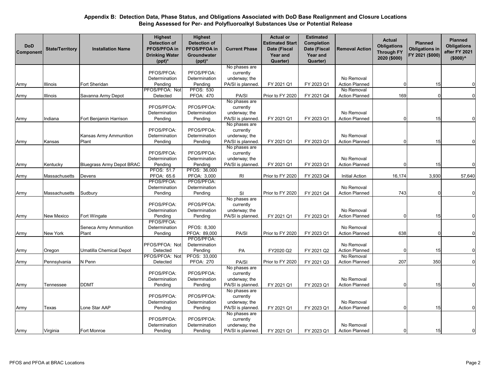| <b>DoD</b><br>Component | <b>State/Territory</b> | <b>Installation Name</b>         | <b>Highest</b><br><b>Detection of</b><br>PFOS/PFOA in<br><b>Drinking Water</b><br>$(ppt)^*$ | <b>Highest</b><br><b>Detection of</b><br>PFOS/PFOA in<br>Groundwater<br>$(ppt)^*$ | <b>Current Phase</b>               | <b>Actual or</b><br><b>Estimated Start</b><br>Date (Fiscal<br>Year and<br>Quarter) | <b>Estimated</b><br>Completion<br>Date (Fiscal<br>Year and<br>Quarter) | <b>Removal Action</b> | <b>Actual</b><br><b>Obligations</b><br><b>Through FY</b><br>2020 (\$000) | <b>Planned</b><br><b>Obligations in</b><br>FY 2021 (\$000) | <b>Planned</b><br><b>Obligations</b><br>after FY 2021<br>$($000)^<$ |
|-------------------------|------------------------|----------------------------------|---------------------------------------------------------------------------------------------|-----------------------------------------------------------------------------------|------------------------------------|------------------------------------------------------------------------------------|------------------------------------------------------------------------|-----------------------|--------------------------------------------------------------------------|------------------------------------------------------------|---------------------------------------------------------------------|
|                         |                        |                                  |                                                                                             |                                                                                   | No phases are                      |                                                                                    |                                                                        |                       |                                                                          |                                                            |                                                                     |
|                         |                        |                                  | PFOS/PFOA:                                                                                  | PFOS/PFOA:                                                                        | currently                          |                                                                                    |                                                                        |                       |                                                                          |                                                            |                                                                     |
|                         |                        |                                  | Determination                                                                               | Determination                                                                     | underway; the                      |                                                                                    |                                                                        | No Removal            |                                                                          |                                                            |                                                                     |
| Army                    | Illinois               | Fort Sheridan                    | Pending                                                                                     | Pending                                                                           | PA/SI is planned.                  | FY 2021 Q1                                                                         | FY 2023 Q1                                                             | <b>Action Planned</b> | $\Omega$                                                                 | 15                                                         | 0                                                                   |
|                         |                        |                                  | PFOS/PFOA: Not                                                                              | <b>PFOS: 530</b>                                                                  |                                    |                                                                                    |                                                                        | No Removal            |                                                                          |                                                            |                                                                     |
| Army                    | Illinois               | Savanna Army Depot               | Detected                                                                                    | PFOA: 470                                                                         | PA/SI                              | Prior to FY 2020                                                                   | FY 2021 Q4                                                             | <b>Action Planned</b> | 169                                                                      |                                                            | $\mathbf 0$                                                         |
|                         |                        |                                  |                                                                                             |                                                                                   | No phases are                      |                                                                                    |                                                                        |                       |                                                                          |                                                            |                                                                     |
|                         |                        |                                  | PFOS/PFOA:                                                                                  | PFOS/PFOA:                                                                        | currently                          |                                                                                    |                                                                        | No Removal            |                                                                          |                                                            |                                                                     |
|                         |                        |                                  | Determination                                                                               | Determination                                                                     | underway; the<br>PA/SI is planned. |                                                                                    |                                                                        | <b>Action Planned</b> |                                                                          |                                                            | $\overline{0}$                                                      |
| Army                    | Indiana                | Fort Benjamin Harrison           | Pending                                                                                     | Pending                                                                           | No phases are                      | FY 2021 Q1                                                                         | FY 2023 Q1                                                             |                       |                                                                          | 15                                                         |                                                                     |
|                         |                        |                                  | PFOS/PFOA:                                                                                  | PFOS/PFOA:                                                                        | currently                          |                                                                                    |                                                                        |                       |                                                                          |                                                            |                                                                     |
|                         |                        | Kansas Army Ammunition           | Determination                                                                               | Determination                                                                     | underway; the                      |                                                                                    |                                                                        | No Removal            |                                                                          |                                                            |                                                                     |
|                         |                        | Plant                            | Pending                                                                                     | Pending                                                                           | PA/SI is planned.                  | FY 2021 Q1                                                                         | FY 2023 Q1                                                             | <b>Action Planned</b> |                                                                          | 15                                                         | $\Omega$                                                            |
| Army                    | Kansas                 |                                  |                                                                                             |                                                                                   | No phases are                      |                                                                                    |                                                                        |                       |                                                                          |                                                            |                                                                     |
|                         |                        |                                  | PFOS/PFOA:                                                                                  | PFOS/PFOA:                                                                        | currently                          |                                                                                    |                                                                        |                       |                                                                          |                                                            |                                                                     |
|                         |                        |                                  | Determination                                                                               | Determination                                                                     | underway; the                      |                                                                                    |                                                                        | No Removal            |                                                                          |                                                            |                                                                     |
| Army                    | Kentucky               | <b>Bluegrass Army Depot BRAC</b> | Pending                                                                                     | Pending                                                                           | PA/SI is planned.                  | FY 2021 Q1                                                                         | FY 2023 Q1                                                             | <b>Action Planned</b> |                                                                          | 15                                                         | $\overline{0}$                                                      |
|                         |                        |                                  | <b>PFOS: 51.7</b>                                                                           | PFOS: 36,000                                                                      |                                    |                                                                                    |                                                                        |                       |                                                                          |                                                            |                                                                     |
| Army                    | Massachusetts          | Devens                           | PFOA: 65.6                                                                                  | PFOA: 3,000                                                                       | <b>RI</b>                          | Prior to FY 2020                                                                   | FY 2023 Q4                                                             | <b>Initial Action</b> | 16,174                                                                   | 3,930                                                      | 57,640                                                              |
|                         |                        |                                  | PFOS/PFOA:                                                                                  | PFOS/PFOA:                                                                        |                                    |                                                                                    |                                                                        |                       |                                                                          |                                                            |                                                                     |
|                         |                        |                                  | Determination                                                                               | Determination                                                                     |                                    |                                                                                    |                                                                        | No Removal            |                                                                          |                                                            |                                                                     |
| Army                    | Massachusetts          | Sudbury                          | Pending                                                                                     | Pending                                                                           | SI                                 | Prior to FY 2020                                                                   | FY 2021 Q4                                                             | <b>Action Planned</b> | 743                                                                      |                                                            | $\mathbf 0$                                                         |
|                         |                        |                                  |                                                                                             |                                                                                   | No phases are                      |                                                                                    |                                                                        |                       |                                                                          |                                                            |                                                                     |
|                         |                        |                                  | PFOS/PFOA:                                                                                  | PFOS/PFOA:                                                                        | currently                          |                                                                                    |                                                                        |                       |                                                                          |                                                            |                                                                     |
|                         |                        |                                  | Determination                                                                               | Determination                                                                     | underway; the                      |                                                                                    |                                                                        | No Removal            |                                                                          |                                                            |                                                                     |
| Army                    | New Mexico             | Fort Wingate                     | Pending                                                                                     | Pending                                                                           | PA/SI is planned.                  | FY 2021 Q1                                                                         | FY 2023 Q1                                                             | <b>Action Planned</b> |                                                                          | 15                                                         | $\Omega$                                                            |
|                         |                        |                                  | PFOS/PFOA:                                                                                  |                                                                                   |                                    |                                                                                    |                                                                        |                       |                                                                          |                                                            |                                                                     |
|                         |                        | Seneca Army Ammunition           | Determination                                                                               | PFOS: 8,300                                                                       |                                    |                                                                                    |                                                                        | No Removal            |                                                                          |                                                            |                                                                     |
| Army                    | New York               | Plant                            | Pending                                                                                     | PFOA: 89,000                                                                      | PA/SI                              | Prior to FY 2020                                                                   | FY 2023 Q1                                                             | <b>Action Planned</b> | 638                                                                      |                                                            | $\mathbf 0$                                                         |
|                         |                        |                                  |                                                                                             | PFOS/PFOA:                                                                        |                                    |                                                                                    |                                                                        |                       |                                                                          |                                                            |                                                                     |
|                         |                        |                                  | PFOS/PFOA: Not                                                                              | Determination                                                                     |                                    |                                                                                    |                                                                        | No Removal            |                                                                          |                                                            |                                                                     |
| Army                    | Oregon                 | Umatilla Chemical Depot          | Detected                                                                                    | Pending                                                                           | PA                                 | FY2020 Q2                                                                          | FY 2021 Q2                                                             | <b>Action Planned</b> |                                                                          | 15                                                         | $\Omega$                                                            |
|                         |                        |                                  | PFOS/PFOA: Not                                                                              | PFOS: 33,000                                                                      |                                    |                                                                                    |                                                                        | No Removal            |                                                                          |                                                            |                                                                     |
| Army                    | Pennsylvania           | N Penn                           | Detected                                                                                    | <b>PFOA: 270</b>                                                                  | PA/SI                              | Prior to FY 2020                                                                   | FY 2021 Q3                                                             | <b>Action Planned</b> | 207                                                                      | 350                                                        | $\mathbf 0$                                                         |
|                         |                        |                                  | PFOS/PFOA:                                                                                  | PFOS/PFOA:                                                                        | No phases are                      |                                                                                    |                                                                        |                       |                                                                          |                                                            |                                                                     |
|                         |                        |                                  | Determination                                                                               | Determination                                                                     | currently<br>underway; the         |                                                                                    |                                                                        | No Removal            |                                                                          |                                                            |                                                                     |
|                         |                        | DDMT                             |                                                                                             |                                                                                   | PA/SI is planned.                  | FY 2021 Q1                                                                         | FY 2023 Q1                                                             | <b>Action Planned</b> |                                                                          | 15                                                         | $\mathbf 0$                                                         |
| Army                    | Tennessee              |                                  | Pending                                                                                     | Pending                                                                           | No phases are                      |                                                                                    |                                                                        |                       |                                                                          |                                                            |                                                                     |
|                         |                        |                                  | PFOS/PFOA:                                                                                  | PFOS/PFOA:                                                                        | currently                          |                                                                                    |                                                                        |                       |                                                                          |                                                            |                                                                     |
|                         |                        |                                  | Determination                                                                               | Determination                                                                     | underway; the                      |                                                                                    |                                                                        | No Removal            |                                                                          |                                                            |                                                                     |
| Army                    | Texas                  | Lone Star AAP                    | Pending                                                                                     | Pending                                                                           | PA/SI is planned.                  | FY 2021 Q1                                                                         | FY 2023 Q1                                                             | <b>Action Planned</b> |                                                                          | 15                                                         | $\Omega$                                                            |
|                         |                        |                                  |                                                                                             |                                                                                   | No phases are                      |                                                                                    |                                                                        |                       |                                                                          |                                                            |                                                                     |
|                         |                        |                                  | PFOS/PFOA:                                                                                  | PFOS/PFOA:                                                                        | currently                          |                                                                                    |                                                                        |                       |                                                                          |                                                            |                                                                     |
|                         |                        |                                  | Determination                                                                               | Determination                                                                     | underway; the                      |                                                                                    |                                                                        | No Removal            |                                                                          |                                                            |                                                                     |
| Army                    | Virginia               | Fort Monroe                      | Pending                                                                                     | Pending                                                                           | PA/SI is planned.                  | FY 2021 Q1                                                                         | FY 2023 Q1                                                             | <b>Action Planned</b> |                                                                          | 15                                                         | $\Omega$                                                            |
|                         |                        |                                  |                                                                                             |                                                                                   |                                    |                                                                                    |                                                                        |                       |                                                                          |                                                            |                                                                     |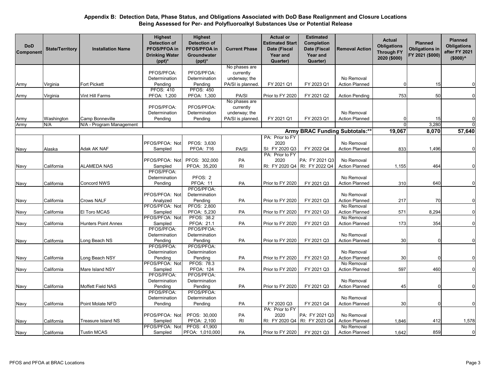| <b>DoD</b><br>Component | <b>State/Territory</b> | <b>Installation Name</b> | <b>Highest</b><br><b>Detection of</b><br>PFOS/PFOA in<br><b>Drinking Water</b><br>$(ppt)^*$ | <b>Highest</b><br><b>Detection of</b><br>PFOS/PFOA in<br>Groundwater<br>$(ppt)^*$ | <b>Current Phase</b>   | <b>Actual or</b><br><b>Estimated Start</b><br>Date (Fiscal<br>Year and<br>Quarter) | <b>Estimated</b><br>Completion<br>Date (Fiscal<br>Year and<br>Quarter) | <b>Removal Action</b> | <b>Actual</b><br><b>Obligations</b><br><b>Through FY</b><br>2020 (\$000) | <b>Planned</b><br><b>Obligations in</b><br>FY 2021 (\$000) | <b>Planned</b><br><b>Obligations</b><br>after FY 2021<br>$($000)^{\wedge}$ |
|-------------------------|------------------------|--------------------------|---------------------------------------------------------------------------------------------|-----------------------------------------------------------------------------------|------------------------|------------------------------------------------------------------------------------|------------------------------------------------------------------------|-----------------------|--------------------------------------------------------------------------|------------------------------------------------------------|----------------------------------------------------------------------------|
|                         |                        |                          |                                                                                             |                                                                                   | No phases are          |                                                                                    |                                                                        |                       |                                                                          |                                                            |                                                                            |
|                         |                        |                          | PFOS/PFOA:                                                                                  | PFOS/PFOA:                                                                        | currently              |                                                                                    |                                                                        |                       |                                                                          |                                                            |                                                                            |
|                         |                        |                          | Determination                                                                               | Determination                                                                     | underway; the          |                                                                                    |                                                                        | No Removal            |                                                                          |                                                            |                                                                            |
| Army                    | Virginia               | Fort Pickett             | Pending                                                                                     | Pending                                                                           | PA/SI is planned.      | FY 2021 Q1                                                                         | FY 2023 Q1                                                             | <b>Action Planned</b> | $\overline{0}$                                                           | 15                                                         | $\mathbf 0$                                                                |
|                         |                        |                          | <b>PFOS: 410</b>                                                                            | <b>PFOS: 450</b>                                                                  |                        |                                                                                    |                                                                        |                       |                                                                          |                                                            |                                                                            |
| Army                    | Virginia               | Vint Hill Farms          | PFOA: 1,200                                                                                 | PFOA: 1,300                                                                       | PA/SI<br>No phases are | Prior to FY 2020                                                                   | FY 2021 Q2                                                             | <b>Action Pending</b> | 753                                                                      | 50                                                         | $\mathbf 0$                                                                |
|                         |                        |                          | PFOS/PFOA:                                                                                  | PFOS/PFOA:                                                                        | currently              |                                                                                    |                                                                        |                       |                                                                          |                                                            |                                                                            |
|                         |                        |                          | Determination                                                                               | Determination                                                                     | underway; the          |                                                                                    |                                                                        | No Removal            |                                                                          |                                                            |                                                                            |
| Army                    | Washington             | Camp Bonneville          | Pending                                                                                     | Pending                                                                           | PA/SI is planned.      | FY 2021 Q1                                                                         | FY 2023 Q1                                                             | <b>Action Planned</b> | 0                                                                        | 15                                                         | $\overline{0}$                                                             |
| Army                    | N/A                    | N/A - Program Management |                                                                                             |                                                                                   |                        |                                                                                    |                                                                        |                       | $\Omega$                                                                 | 3,280                                                      | $\mathbf 0$                                                                |
|                         |                        |                          |                                                                                             |                                                                                   |                        |                                                                                    | Army BRAC Funding Subtotals:**                                         |                       | 19,067                                                                   | 8,070                                                      | 57,640                                                                     |
|                         |                        |                          |                                                                                             |                                                                                   |                        |                                                                                    |                                                                        |                       |                                                                          |                                                            |                                                                            |
|                         |                        |                          | PFOS/PFOA: Not                                                                              | PFOS: 3,630                                                                       |                        | PA: Prior to FY<br>2020                                                            |                                                                        | No Removal            |                                                                          |                                                            |                                                                            |
|                         | Alaska                 | Adak AK NAF              | Sampled                                                                                     | <b>PFOA: 716</b>                                                                  | PA/SI                  | SI: FY 2020 Q3                                                                     | FY 2022 Q4                                                             | <b>Action Planned</b> | 833                                                                      | 1,496                                                      | $\overline{0}$                                                             |
| Navy                    |                        |                          |                                                                                             |                                                                                   |                        | PA: Prior to FY                                                                    |                                                                        |                       |                                                                          |                                                            |                                                                            |
|                         |                        |                          | PFOS/PFOA: No                                                                               | PFOS: 302,000                                                                     | PA                     | 2020                                                                               | PA: FY 2021 Q3                                                         | No Removal            |                                                                          |                                                            |                                                                            |
| Navy                    | California             | ALAMEDA NAS              | Sampled                                                                                     | PFOA: 35,200                                                                      | RI                     | RI: FY 2020 Q4                                                                     | RI: FY 2022 Q4                                                         | <b>Action Planned</b> | 1,155                                                                    | 464                                                        | $\mathbf 0$                                                                |
|                         |                        |                          | PFOS/PFOA:                                                                                  |                                                                                   |                        |                                                                                    |                                                                        |                       |                                                                          |                                                            |                                                                            |
|                         |                        |                          | Determination                                                                               | PFOS: 2                                                                           |                        |                                                                                    |                                                                        | No Removal            |                                                                          |                                                            |                                                                            |
| Navy                    | California             | Concord NWS              | Pending                                                                                     | PFOA: 11                                                                          | PA                     | Prior to FY 2020                                                                   | FY 2021 Q3                                                             | <b>Action Planned</b> | 310                                                                      | 640                                                        | $\overline{0}$                                                             |
|                         |                        |                          |                                                                                             | PFOS/PFOA:                                                                        |                        |                                                                                    |                                                                        |                       |                                                                          |                                                            |                                                                            |
|                         |                        |                          | PFOS/PFOA: Not                                                                              | Determination                                                                     |                        |                                                                                    |                                                                        | No Removal            |                                                                          |                                                            |                                                                            |
| Navy                    | California             | <b>Crows NALF</b>        | Analyzed                                                                                    | Pending                                                                           | PA                     | Prior to FY 2020                                                                   | FY 2021 Q3                                                             | <b>Action Planned</b> | 217                                                                      | 70                                                         | $\mathbf 0$                                                                |
|                         |                        |                          | PFOS/PFOA: Not                                                                              | PFOS: 2,800                                                                       |                        |                                                                                    |                                                                        | No Removal            |                                                                          |                                                            |                                                                            |
| Navy                    | California             | El Toro MCAS             | Sampled                                                                                     | PFOA: 5,230                                                                       | PA                     | Prior to FY 2020                                                                   | FY 2021 Q3                                                             | <b>Action Planned</b> | 571                                                                      | 8,294                                                      | $\overline{0}$                                                             |
|                         |                        |                          | PFOS/PFOA: Not                                                                              | <b>PFOS: 38.2</b>                                                                 |                        |                                                                                    |                                                                        | No Removal            |                                                                          |                                                            |                                                                            |
| Navy                    | California             | Hunters Point Annex      | Sampled                                                                                     | PFOA: 21.1                                                                        | PA                     | Prior to FY 2020                                                                   | FY 2021 Q3                                                             | <b>Action Planned</b> | 173                                                                      | 354                                                        | $\overline{0}$                                                             |
|                         |                        |                          | PFOS/PFOA:                                                                                  | PFOS/PFOA:                                                                        |                        |                                                                                    |                                                                        |                       |                                                                          |                                                            |                                                                            |
|                         |                        |                          | Determination                                                                               | Determination                                                                     |                        |                                                                                    |                                                                        | No Removal            |                                                                          |                                                            |                                                                            |
| Navy                    | California             | Long Beach NS            | Pending                                                                                     | Pending                                                                           | PA                     | Prior to FY 2020                                                                   | FY 2021 Q3                                                             | <b>Action Planned</b> | 30                                                                       | $\Omega$                                                   | $\Omega$                                                                   |
|                         |                        |                          | PFOS/PFOA:                                                                                  | PFOS/PFOA:                                                                        |                        |                                                                                    |                                                                        |                       |                                                                          |                                                            |                                                                            |
|                         |                        |                          | Determination                                                                               | Determination                                                                     |                        |                                                                                    |                                                                        | No Removal            |                                                                          |                                                            |                                                                            |
| Navy                    | California             | Long Beach NSY           | Pending                                                                                     | Pending                                                                           | PA                     | Prior to FY 2020                                                                   | FY 2021 Q3                                                             | <b>Action Planned</b> | 30                                                                       |                                                            | $\mathbf 0$                                                                |
|                         |                        |                          | PFOS/PFOA: Not                                                                              | <b>PFOS: 78.3</b>                                                                 |                        |                                                                                    |                                                                        | No Removal            |                                                                          |                                                            |                                                                            |
| Navy                    | California             | Mare Island NSY          | Sampled                                                                                     | <b>PFOA: 124</b>                                                                  | PA                     | Prior to FY 2020                                                                   | FY 2021 Q3                                                             | <b>Action Planned</b> | 597                                                                      | 460                                                        | $\mathbf 0$                                                                |
|                         |                        |                          | PFOS/PFOA:                                                                                  | PFOS/PFOA:                                                                        |                        |                                                                                    |                                                                        |                       |                                                                          |                                                            |                                                                            |
|                         |                        |                          | Determination                                                                               | Determination                                                                     |                        |                                                                                    |                                                                        | No Removal            |                                                                          | $\Omega$                                                   | $\overline{0}$                                                             |
| Navy                    | California             | Moffett Field NAS        | Pending                                                                                     | Pending                                                                           | PA                     | Prior to FY 2020                                                                   | FY 2021 Q3                                                             | <b>Action Planned</b> | 45                                                                       |                                                            |                                                                            |
|                         |                        |                          | PFOS/PFOA:<br>Determination                                                                 | PFOS/PFOA:<br>Determination                                                       |                        |                                                                                    |                                                                        | No Removal            |                                                                          |                                                            |                                                                            |
|                         |                        | <b>Point Molate NFD</b>  |                                                                                             |                                                                                   |                        |                                                                                    |                                                                        | <b>Action Planned</b> |                                                                          | $\Omega$                                                   | $\overline{0}$                                                             |
| Navy                    | California             |                          | Pending                                                                                     | Pending                                                                           | PA                     | FY 2020 Q3<br>PA: Prior to FY                                                      | FY 2021 Q4                                                             |                       | 30                                                                       |                                                            |                                                                            |
|                         |                        |                          | PFOS/PFOA: Not                                                                              | PFOS: 30,000                                                                      | PA                     | 2020                                                                               | PA: FY 2021 Q3                                                         | No Removal            |                                                                          |                                                            |                                                                            |
| Navy                    | California             | Treasure Island NS       | Sampled                                                                                     | PFOA: 2,100                                                                       | RI                     | RI: FY 2020 Q4                                                                     | RI: FY 2023 Q4                                                         | <b>Action Planned</b> | 1,846                                                                    | 412                                                        | 1,578                                                                      |
|                         |                        |                          | PFOS/PFOA: No                                                                               | PFOS: 41,900                                                                      |                        |                                                                                    |                                                                        | No Removal            |                                                                          |                                                            |                                                                            |
| Navy                    | California             | <b>Tustin MCAS</b>       | Sampled                                                                                     | PFOA: 1,010,000                                                                   | PA                     | Prior to FY 2020                                                                   | FY 2021 Q3                                                             | <b>Action Planned</b> | 1,642                                                                    | 859                                                        | $\overline{0}$                                                             |
|                         |                        |                          |                                                                                             |                                                                                   |                        |                                                                                    |                                                                        |                       |                                                                          |                                                            |                                                                            |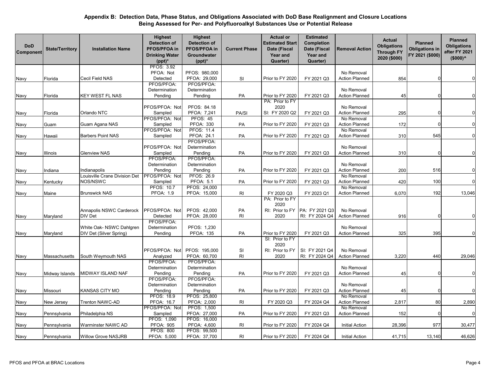| <b>DoD</b><br>Component | <b>State/Territory</b> | <b>Installation Name</b>      | <b>Highest</b><br><b>Detection of</b><br>PFOS/PFOA in<br><b>Drinking Water</b><br>$(ppt)^*$ | <b>Highest</b><br><b>Detection of</b><br>PFOS/PFOA in<br>Groundwater<br>$(ppt)^*$ | <b>Current Phase</b> | <b>Actual or</b><br><b>Estimated Start</b><br>Date (Fiscal<br><b>Year and</b><br>Quarter) | <b>Estimated</b><br>Completion<br>Date (Fiscal<br>Year and<br>Quarter) | <b>Removal Action</b>               | <b>Actual</b><br><b>Obligations</b><br><b>Through FY</b><br>2020 (\$000) | <b>Planned</b><br><b>Obligations in</b><br>FY 2021 (\$000) | <b>Planned</b><br><b>Obligations</b><br>after FY 2021<br>$($000)^<$ |
|-------------------------|------------------------|-------------------------------|---------------------------------------------------------------------------------------------|-----------------------------------------------------------------------------------|----------------------|-------------------------------------------------------------------------------------------|------------------------------------------------------------------------|-------------------------------------|--------------------------------------------------------------------------|------------------------------------------------------------|---------------------------------------------------------------------|
|                         |                        |                               | PFOS: 3.92                                                                                  |                                                                                   |                      |                                                                                           |                                                                        |                                     |                                                                          |                                                            |                                                                     |
|                         |                        |                               | PFOA: Not                                                                                   | PFOS: 980,000                                                                     |                      |                                                                                           |                                                                        | No Removal                          |                                                                          |                                                            |                                                                     |
| Navy                    | Florida                | Cecil Field NAS               | Detected                                                                                    | PFOA: 29,000                                                                      | <b>SI</b>            | Prior to FY 2020                                                                          | FY 2021 Q3                                                             | <b>Action Planned</b>               | 854                                                                      |                                                            |                                                                     |
|                         |                        |                               | PFOS/PFOA:                                                                                  | PFOS/PFOA:                                                                        |                      |                                                                                           |                                                                        |                                     |                                                                          |                                                            |                                                                     |
|                         |                        |                               | Determination                                                                               | Determination                                                                     |                      |                                                                                           |                                                                        | No Removal                          |                                                                          |                                                            |                                                                     |
| Navy                    | Florida                | KEY WEST FL NAS               | Pending                                                                                     | Pending                                                                           | PA                   | Prior to FY 2020                                                                          | FY 2021 Q3                                                             | <b>Action Planned</b>               | 45                                                                       |                                                            | 0                                                                   |
|                         |                        |                               |                                                                                             |                                                                                   |                      | PA: Prior to FY                                                                           |                                                                        |                                     |                                                                          |                                                            |                                                                     |
|                         |                        |                               | PFOS/PFOA: Not                                                                              | PFOS: 84.18                                                                       |                      | 2020                                                                                      |                                                                        | No Removal                          |                                                                          |                                                            | 0                                                                   |
| Navy                    | Florida                | Orlando NTC                   | Sampled                                                                                     | PFOA: 7,241<br><b>PFOS: 45</b>                                                    | PA/SI                | SI: FY 2020 Q2                                                                            | FY 2021 Q3                                                             | <b>Action Planned</b>               | 295                                                                      |                                                            |                                                                     |
|                         |                        |                               | PFOS/PFOA: Not                                                                              |                                                                                   |                      |                                                                                           |                                                                        | No Removal                          |                                                                          |                                                            | 0                                                                   |
| Navy                    | Guam                   | Guam Agana NAS                | Sampled<br>PFOS/PFOA: Not                                                                   | <b>PFOA: 330</b><br><b>PFOS: 11.4</b>                                             | PA                   | Prior to FY 2020                                                                          | FY 2021 Q3                                                             | <b>Action Planned</b><br>No Removal | 172                                                                      |                                                            |                                                                     |
|                         |                        | Barbers Point NAS             | Sampled                                                                                     | PFOA: 24.1                                                                        | <b>PA</b>            | Prior to FY 2020                                                                          | FY 2021 Q3                                                             | <b>Action Planned</b>               | 310                                                                      | 545                                                        | 0                                                                   |
| Navy                    | Hawaii                 |                               |                                                                                             | PFOS/PFOA:                                                                        |                      |                                                                                           |                                                                        |                                     |                                                                          |                                                            |                                                                     |
|                         |                        |                               | PFOS/PFOA: Not                                                                              | Determination                                                                     |                      |                                                                                           |                                                                        | No Removal                          |                                                                          |                                                            |                                                                     |
| Navy                    | Illinois               | Glenview NAS                  | Sampled                                                                                     | Pending                                                                           | PA                   | Prior to FY 2020                                                                          | FY 2021 Q3                                                             | <b>Action Planned</b>               | 310                                                                      |                                                            | 0                                                                   |
|                         |                        |                               | PFOS/PFOA:                                                                                  | PFOS/PFOA:                                                                        |                      |                                                                                           |                                                                        |                                     |                                                                          |                                                            |                                                                     |
|                         |                        |                               | Determination                                                                               | Determination                                                                     |                      |                                                                                           |                                                                        | No Removal                          |                                                                          |                                                            |                                                                     |
| Navy                    | Indiana                | Indianapolis                  | Pending                                                                                     | Pending                                                                           | PA                   | Prior to FY 2020                                                                          | FY 2021 Q3                                                             | <b>Action Planned</b>               | 200                                                                      | 516                                                        | 0                                                                   |
|                         |                        | Louisville Crane Division Det | PFOS/PFOA: Not                                                                              | PFOS: 26.9                                                                        |                      |                                                                                           |                                                                        | No Removal                          |                                                                          |                                                            |                                                                     |
| Navy                    | Kentucky               | NOS/NSWC                      | Sampled                                                                                     | <b>PFOA: 5.1</b>                                                                  | PA                   | Prior to FY 2020                                                                          | FY 2021 Q3                                                             | <b>Action Planned</b>               | 420                                                                      | 100                                                        | 0                                                                   |
|                         |                        |                               | <b>PFOS: 10.7</b>                                                                           | PFOS: 24,000                                                                      |                      |                                                                                           |                                                                        | No Removal                          |                                                                          |                                                            |                                                                     |
| Navy                    | Maine                  | Brunswick NAS                 | <b>PFOA: 1.9</b>                                                                            | PFOA: 15,000                                                                      | RI                   | FY 2020 Q3                                                                                | FY 2023 Q1                                                             | <b>Action Planned</b>               | 6,070                                                                    | 192                                                        | 13,046                                                              |
|                         |                        |                               |                                                                                             |                                                                                   |                      | PA: Prior to FY                                                                           |                                                                        |                                     |                                                                          |                                                            |                                                                     |
|                         |                        |                               |                                                                                             |                                                                                   |                      | 2020                                                                                      |                                                                        |                                     |                                                                          |                                                            |                                                                     |
|                         |                        | Annapolis NSWC Carderock      | PFOS/PFOA: Not                                                                              | PFOS: 42,000                                                                      | PA                   | RI: Prior to FY                                                                           | PA: FY 2021 Q3                                                         | No Removal                          |                                                                          |                                                            |                                                                     |
| Navy                    | Maryland               | DIV Det                       | Detected                                                                                    | PFOA: 28,000                                                                      | RI                   | 2020                                                                                      | RI: FY 2024 Q4                                                         | <b>Action Planned</b>               | 916                                                                      |                                                            | 0                                                                   |
|                         |                        |                               | PFOS/PFOA:                                                                                  |                                                                                   |                      |                                                                                           |                                                                        |                                     |                                                                          |                                                            |                                                                     |
|                         |                        | White Oak- NSWC Dahlgren      | Determination                                                                               | PFOS: 1,230                                                                       |                      |                                                                                           |                                                                        | No Removal                          |                                                                          |                                                            |                                                                     |
| Navy                    | Maryland               | DIV Det (Silver Spring)       | Pending                                                                                     | <b>PFOA: 135</b>                                                                  | PA                   | Prior to FY 2020                                                                          | FY 2021 Q3                                                             | <b>Action Planned</b>               | 325                                                                      | 395                                                        | 0                                                                   |
|                         |                        |                               |                                                                                             |                                                                                   |                      | SI: Prior to FY                                                                           |                                                                        |                                     |                                                                          |                                                            |                                                                     |
|                         |                        |                               |                                                                                             |                                                                                   |                      | 2020                                                                                      |                                                                        |                                     |                                                                          |                                                            |                                                                     |
|                         |                        |                               | PFOS/PFOA: Not                                                                              | PFOS: 195,000                                                                     | SI                   | RI: Prior to FY                                                                           | SI: FY 2021 Q4                                                         | No Removal                          |                                                                          |                                                            |                                                                     |
| Navy                    | Massachusetts          | South Weymouth NAS            | Analyzed                                                                                    | PFOA: 60,700                                                                      | RI                   | 2020                                                                                      | RI: FY 2024 Q4                                                         | <b>Action Planned</b>               | 3,220                                                                    | 440                                                        | 29,046                                                              |
|                         |                        |                               | PFOS/PFOA:                                                                                  | PFOS/PFOA:                                                                        |                      |                                                                                           |                                                                        |                                     |                                                                          |                                                            |                                                                     |
|                         |                        |                               | Determination                                                                               | Determination                                                                     |                      |                                                                                           |                                                                        | No Removal                          |                                                                          |                                                            |                                                                     |
| Navy                    | Midway Islands         | MIDWAY ISLAND NAF             | Pending                                                                                     | Pending                                                                           | PA                   | Prior to FY 2020                                                                          | FY 2021 Q3                                                             | <b>Action Planned</b>               | 45                                                                       |                                                            | 0                                                                   |
|                         |                        |                               | PFOS/PFOA:                                                                                  | PFOS/PFOA:                                                                        |                      |                                                                                           |                                                                        |                                     |                                                                          |                                                            |                                                                     |
|                         |                        |                               | Determination                                                                               | Determination                                                                     |                      |                                                                                           |                                                                        | No Removal                          |                                                                          |                                                            |                                                                     |
| Navy                    | Missouri               | KANSAS CITY MO                | Pending                                                                                     | Pending                                                                           | PA                   | Prior to FY 2020                                                                          | FY 2021 Q3                                                             | <b>Action Planned</b>               | 45                                                                       |                                                            | $\mathbf 0$                                                         |
|                         |                        |                               | PFOS: 18.9                                                                                  | PFOS: 25,800                                                                      |                      |                                                                                           |                                                                        | No Removal                          |                                                                          |                                                            |                                                                     |
| Navy                    | New Jersey             | Trenton NAWC-AD               | PFOA: 16.7                                                                                  | PFOA: 2,000                                                                       | RI                   | FY 2020 Q3                                                                                | FY 2024 Q4                                                             | <b>Action Planned</b>               | 2,817                                                                    | 80                                                         | 2,890                                                               |
|                         |                        |                               | PFOS/PFOA: Not                                                                              | PFOS: 1,500                                                                       |                      |                                                                                           |                                                                        | No Removal                          |                                                                          |                                                            |                                                                     |
| Navy                    | Pennsylvania           | Philadelphia NS               | Sampled                                                                                     | PFOA: 27,000<br>PFOS: 16,000                                                      | PA                   | Prior to FY 2020                                                                          | FY 2021 Q3                                                             | <b>Action Planned</b>               | 152                                                                      |                                                            | 0                                                                   |
|                         |                        | Warminster NAWC AD            | PFOS: 1,090<br><b>PFOA: 905</b>                                                             | PFOA: 4,600                                                                       | R <sub>l</sub>       | Prior to FY 2020                                                                          | FY 2024 Q4                                                             | <b>Initial Action</b>               | 28,396                                                                   | 977                                                        | 30,477                                                              |
| Navy                    | Pennsylvania           |                               | <b>PFOS: 800</b>                                                                            | PFOS: 99,500                                                                      |                      |                                                                                           |                                                                        |                                     |                                                                          |                                                            |                                                                     |
| Navy                    | Pennsylvania           | Willow Grove NASJRB           | PFOA: 5,000                                                                                 | PFOA: 37,700                                                                      | <b>RI</b>            | Prior to FY 2020                                                                          | FY 2024 Q4                                                             | <b>Initial Action</b>               | 41,715                                                                   | 13,140                                                     | 46,626                                                              |
|                         |                        |                               |                                                                                             |                                                                                   |                      |                                                                                           |                                                                        |                                     |                                                                          |                                                            |                                                                     |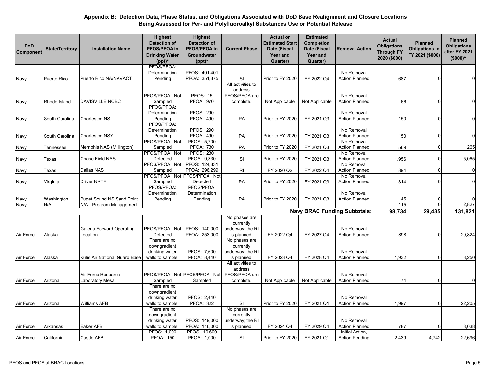| <b>DoD</b><br>Component | <b>State/Territory</b> | <b>Installation Name</b>         | <b>Highest</b><br><b>Detection of</b><br><b>PFOS/PFOA in</b><br><b>Drinking Water</b><br>$(ppt)^*$ | <b>Highest</b><br><b>Detection of</b><br>PFOS/PFOA in<br>Groundwater<br>$(ppt)^*$ | <b>Current Phase</b>          | <b>Actual or</b><br><b>Estimated Start</b><br>Date (Fiscal<br>Year and<br>Quarter) | <b>Estimated</b><br>Completion<br>Date (Fiscal<br>Year and<br>Quarter) | <b>Removal Action</b>               | <b>Actual</b><br><b>Obligations</b><br><b>Through FY</b><br>2020 (\$000) | <b>Planned</b><br><b>Obligations in</b><br>FY 2021 (\$000) | <b>Planned</b><br><b>Obligations</b><br>after FY 2021<br>$($000)^<$ |
|-------------------------|------------------------|----------------------------------|----------------------------------------------------------------------------------------------------|-----------------------------------------------------------------------------------|-------------------------------|------------------------------------------------------------------------------------|------------------------------------------------------------------------|-------------------------------------|--------------------------------------------------------------------------|------------------------------------------------------------|---------------------------------------------------------------------|
|                         |                        |                                  | PFOS/PFOA:<br>Determination                                                                        | PFOS: 491,401                                                                     |                               |                                                                                    |                                                                        | No Removal                          |                                                                          |                                                            |                                                                     |
| Navy                    | Puerto Rico            | Puerto Rico NA/NAVACT            | Pending                                                                                            | PFOA: 351,375                                                                     | SI                            | Prior to FY 2020                                                                   | FY 2022 Q4                                                             | <b>Action Planned</b>               | 687                                                                      |                                                            | $\Omega$                                                            |
|                         |                        |                                  |                                                                                                    |                                                                                   | All activities to             |                                                                                    |                                                                        |                                     |                                                                          |                                                            |                                                                     |
|                         |                        |                                  |                                                                                                    |                                                                                   | address                       |                                                                                    |                                                                        |                                     |                                                                          |                                                            |                                                                     |
|                         |                        |                                  | PFOS/PFOA: Not                                                                                     | <b>PFOS: 15</b>                                                                   | PFOS/PFOA are                 |                                                                                    |                                                                        | No Removal                          |                                                                          |                                                            |                                                                     |
| Navy                    | Rhode Island           | <b>DAVISVILLE NCBC</b>           | Sampled<br>PFOS/PFOA:                                                                              | <b>PFOA: 970</b>                                                                  | complete.                     | Not Applicable                                                                     | Not Applicable                                                         | <b>Action Planned</b>               | 66                                                                       | $\Omega$                                                   | $\Omega$                                                            |
|                         |                        |                                  | Determination                                                                                      | <b>PFOS: 290</b>                                                                  |                               |                                                                                    |                                                                        | No Removal                          |                                                                          |                                                            |                                                                     |
| Navy                    | South Carolina         | Charleston NS                    | Pending                                                                                            | <b>PFOA: 490</b>                                                                  | PA                            | Prior to FY 2020                                                                   | FY 2021 Q3                                                             | <b>Action Planned</b>               | 150                                                                      | $\Omega$                                                   | 0                                                                   |
|                         |                        |                                  | PFOS/PFOA:                                                                                         |                                                                                   |                               |                                                                                    |                                                                        |                                     |                                                                          |                                                            |                                                                     |
|                         |                        |                                  | Determination                                                                                      | <b>PFOS: 290</b>                                                                  |                               |                                                                                    |                                                                        | No Removal                          |                                                                          |                                                            |                                                                     |
| Navy                    | South Carolina         | Charleston NSY                   | Pending                                                                                            | <b>PFOA: 490</b>                                                                  | PA                            | Prior to FY 2020                                                                   | FY 2021 Q3                                                             | <b>Action Planned</b>               | 150                                                                      |                                                            | 0                                                                   |
|                         |                        |                                  | PFOS/PFOA: Not                                                                                     | PFOS: 5,700                                                                       |                               |                                                                                    |                                                                        | No Removal                          |                                                                          | n                                                          |                                                                     |
| Navy                    | Tennessee              | Memphis NAS (Millington)         | Sampled<br>PFOS/PFOA: Not                                                                          | <b>PFOA: 730</b><br><b>PFOS: 230</b>                                              | PA                            | Prior to FY 2020                                                                   | FY 2021 Q3                                                             | <b>Action Planned</b><br>No Removal | 569                                                                      |                                                            | 265                                                                 |
| Navy                    | Texas                  | Chase Field NAS                  | Detected                                                                                           | PFOA: 9,330                                                                       | SI                            | Prior to FY 2020                                                                   | FY 2021 Q3                                                             | <b>Action Planned</b>               | 1,956                                                                    |                                                            | 5,065                                                               |
|                         |                        |                                  | PFOS/PFOA: Not                                                                                     | PFOS: 124,331                                                                     |                               |                                                                                    |                                                                        | No Removal                          |                                                                          |                                                            |                                                                     |
| Navy                    | Texas                  | Dallas NAS                       | Sampled                                                                                            | PFOA: 296,299                                                                     | <b>RI</b>                     | FY 2020 Q2                                                                         | FY 2022 Q4                                                             | <b>Action Planned</b>               | 894                                                                      |                                                            | 0                                                                   |
|                         |                        |                                  |                                                                                                    | PFOS/PFOA: Not PFOS/PFOA: Not                                                     |                               |                                                                                    |                                                                        | No Removal                          |                                                                          |                                                            |                                                                     |
| Navy                    | Virginia               | <b>Driver NRTF</b>               | Sampled                                                                                            | Detected                                                                          | PA                            | Prior to FY 2020                                                                   | FY 2021 Q3                                                             | <b>Action Planned</b>               | 314                                                                      | ŋ                                                          | $\mathbf 0$                                                         |
|                         |                        |                                  | PFOS/PFOA:                                                                                         | PFOS/PFOA:                                                                        |                               |                                                                                    |                                                                        |                                     |                                                                          |                                                            |                                                                     |
| Navy                    | Washington             | <b>Puget Sound NS Sand Point</b> | Determination<br>Pending                                                                           | Determination<br>Pending                                                          | PA                            | Prior to FY 2020                                                                   | FY 2021 Q3                                                             | No Removal<br><b>Action Planned</b> | 45                                                                       |                                                            |                                                                     |
| Navy                    | N/A                    | N/A - Program Management         |                                                                                                    |                                                                                   |                               |                                                                                    |                                                                        |                                     | 115                                                                      | $\Omega$                                                   | 2,827                                                               |
|                         |                        |                                  |                                                                                                    |                                                                                   |                               |                                                                                    |                                                                        | <b>Navy BRAC Funding Subtotals:</b> | 98,734                                                                   | 29,435                                                     | 131,821                                                             |
|                         |                        |                                  |                                                                                                    |                                                                                   | No phases are                 |                                                                                    |                                                                        |                                     |                                                                          |                                                            |                                                                     |
|                         |                        |                                  |                                                                                                    |                                                                                   | currently                     |                                                                                    |                                                                        |                                     |                                                                          |                                                            |                                                                     |
|                         |                        | Galena Forward Operating         | PFOS/PFOA: Not                                                                                     | PFOS: 140,000                                                                     | underway; the RI              |                                                                                    |                                                                        | No Removal                          |                                                                          |                                                            |                                                                     |
| Air Force               | Alaska                 | Location                         | Detected                                                                                           | PFOA: 253,000                                                                     | is planned.                   | FY 2022 Q4                                                                         | FY 2027 Q4                                                             | <b>Action Planned</b>               | 898                                                                      |                                                            | 29,824                                                              |
|                         |                        |                                  | There are no                                                                                       |                                                                                   | No phases are                 |                                                                                    |                                                                        |                                     |                                                                          |                                                            |                                                                     |
|                         |                        |                                  | downgradient<br>drinking water                                                                     | PFOS: 7,600                                                                       | currently<br>underway; the RI |                                                                                    |                                                                        | No Removal                          |                                                                          |                                                            |                                                                     |
| Air Force               | Alaska                 | Kulis Air National Guard Base    | wells to sample.                                                                                   | PFOA: 8,440                                                                       | is planned.                   | FY 2023 Q4                                                                         | FY 2028 Q4                                                             | <b>Action Planned</b>               | 1,932                                                                    |                                                            | 8,250                                                               |
|                         |                        |                                  |                                                                                                    |                                                                                   | All activities to             |                                                                                    |                                                                        |                                     |                                                                          |                                                            |                                                                     |
|                         |                        |                                  |                                                                                                    |                                                                                   | address                       |                                                                                    |                                                                        |                                     |                                                                          |                                                            |                                                                     |
|                         |                        | Air Force Research               |                                                                                                    | PFOS/PFOA: Not PFOS/PFOA: Not                                                     | PFOS/PFOA are                 |                                                                                    |                                                                        | No Removal                          |                                                                          |                                                            |                                                                     |
| Air Force               | Arizona                | Laboratory Mesa                  | Sampled                                                                                            | Sampled                                                                           | complete.                     | Not Applicable                                                                     | Not Applicable                                                         | <b>Action Planned</b>               | 74                                                                       |                                                            |                                                                     |
|                         |                        |                                  | There are no                                                                                       |                                                                                   |                               |                                                                                    |                                                                        |                                     |                                                                          |                                                            |                                                                     |
|                         |                        |                                  | downgradient<br>drinking water                                                                     | PFOS: 2.440                                                                       |                               |                                                                                    |                                                                        | No Removal                          |                                                                          |                                                            |                                                                     |
| Air Force               | Arizona                | Williams AFB                     | wells to sample.                                                                                   | <b>PFOA: 322</b>                                                                  | SI                            | Prior to FY 2020                                                                   | FY 2021 Q1                                                             | <b>Action Planned</b>               | 1,997                                                                    |                                                            | 22,205                                                              |
|                         |                        |                                  | There are no                                                                                       |                                                                                   | No phases are                 |                                                                                    |                                                                        |                                     |                                                                          |                                                            |                                                                     |
|                         |                        |                                  | downgradient                                                                                       |                                                                                   | currently                     |                                                                                    |                                                                        |                                     |                                                                          |                                                            |                                                                     |
|                         |                        |                                  | drinking water                                                                                     | PFOS: 149,000                                                                     | underway; the RI              |                                                                                    |                                                                        | No Removal                          |                                                                          |                                                            |                                                                     |
| Air Force               | Arkansas               | Eaker AFB                        | wells to sample.                                                                                   | PFOA: 116,000                                                                     | is planned.                   | FY 2024 Q4                                                                         | FY 2029 Q4                                                             | <b>Action Planned</b>               | 787                                                                      |                                                            | 8,038                                                               |
|                         |                        |                                  | PFOS: 1,000                                                                                        | PFOS: 19,600                                                                      |                               |                                                                                    |                                                                        | Initial Action,                     |                                                                          |                                                            |                                                                     |
| Air Force               | California             | Castle AFB                       | <b>PFOA: 150</b>                                                                                   | PFOA: 1,000                                                                       | SI                            | Prior to FY 2020                                                                   | FY 2021 Q1                                                             | <b>Action Pending</b>               | 2,439                                                                    | 4,742                                                      | 22,696                                                              |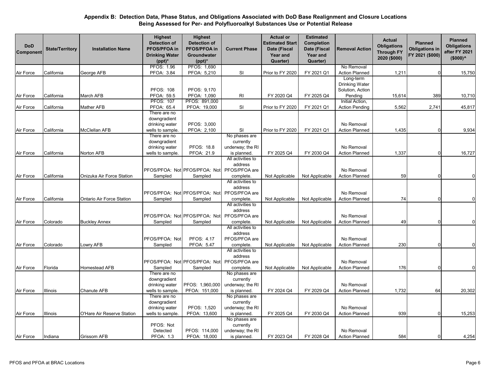| <b>DoD</b><br>Component | <b>State/Territory</b> | <b>Installation Name</b>   | <b>Highest</b><br><b>Detection of</b><br>PFOS/PFOA in<br><b>Drinking Water</b><br>$(ppt)^*$ | <b>Highest</b><br><b>Detection of</b><br>PFOS/PFOA in<br>Groundwater<br>$(ppt)^*$ | <b>Current Phase</b>                                                            | <b>Actual or</b><br><b>Estimated Start</b><br>Date (Fiscal<br><b>Year and</b><br>Quarter) | <b>Estimated</b><br>Completion<br>Date (Fiscal<br>Year and<br>Quarter) | <b>Removal Action</b>                                             | <b>Actual</b><br><b>Obligations</b><br><b>Through FY</b><br>2020 (\$000) | <b>Planned</b><br><b>Obligations in</b><br>FY 2021 (\$000) | <b>Planned</b><br><b>Obligations</b><br>after FY 2021<br>$(5000)^{A}$ |
|-------------------------|------------------------|----------------------------|---------------------------------------------------------------------------------------------|-----------------------------------------------------------------------------------|---------------------------------------------------------------------------------|-------------------------------------------------------------------------------------------|------------------------------------------------------------------------|-------------------------------------------------------------------|--------------------------------------------------------------------------|------------------------------------------------------------|-----------------------------------------------------------------------|
|                         |                        |                            | <b>PFOS: 1.96</b>                                                                           | PFOS: 1,690                                                                       |                                                                                 |                                                                                           |                                                                        | No Removal                                                        |                                                                          |                                                            |                                                                       |
| Air Force               | California             | George AFB                 | PFOA: 3.84                                                                                  | PFOA: 5,210                                                                       | SI                                                                              | Prior to FY 2020                                                                          | FY 2021 Q1                                                             | <b>Action Planned</b>                                             | 1,211                                                                    |                                                            | 15,750                                                                |
| Air Force               | California             | March AFB                  | <b>PFOS: 108</b><br>PFOA: 59.5                                                              | PFOS: 9,170<br>PFOA: 1,090                                                        | <b>RI</b>                                                                       | FY 2020 Q4                                                                                | FY 2025 Q4                                                             | Long-term<br><b>Drinking Water</b><br>Solution, Action<br>Pending | 15,614                                                                   | 389                                                        | 10,710                                                                |
|                         |                        |                            | <b>PFOS: 107</b>                                                                            | PFOS: 891,000                                                                     |                                                                                 |                                                                                           |                                                                        | Initial Action,                                                   |                                                                          |                                                            |                                                                       |
| Air Force               | California             | Mather AFB                 | PFOA: 65.4                                                                                  | PFOA: 19,000                                                                      | SI                                                                              | Prior to FY 2020                                                                          | FY 2021 Q1                                                             | Action Pending                                                    | 5,562                                                                    | 2,741                                                      | 45,817                                                                |
| Air Force               | California             | McClellan AFB              | There are no<br>downgradient<br>drinking water<br>wells to sample.                          | PFOS: 3,000<br>PFOA: 2,100                                                        | SI                                                                              | Prior to FY 2020                                                                          | FY 2021 Q1                                                             | No Removal<br><b>Action Planned</b>                               | 1,435                                                                    |                                                            | 9,934                                                                 |
|                         |                        |                            | There are no                                                                                |                                                                                   | No phases are                                                                   |                                                                                           |                                                                        |                                                                   |                                                                          |                                                            |                                                                       |
|                         | California             |                            | downgradient<br>drinking water                                                              | PFOS: 18.8                                                                        | currently<br>underway; the RI                                                   |                                                                                           | FY 2030 Q4                                                             | No Removal<br><b>Action Planned</b>                               |                                                                          |                                                            |                                                                       |
| Air Force               |                        | Norton AFB                 | wells to sample.                                                                            | PFOA: 21.9                                                                        | is planned.<br>All activities to                                                | FY 2025 Q4                                                                                |                                                                        |                                                                   | 1,337                                                                    |                                                            | 16,727                                                                |
|                         |                        |                            |                                                                                             | PFOS/PFOA: Not PFOS/PFOA: Not                                                     | address<br>PFOS/PFOA are                                                        |                                                                                           |                                                                        | No Removal                                                        |                                                                          |                                                            |                                                                       |
| Air Force               | California             | Onizuka Air Force Station  | Sampled                                                                                     | Sampled                                                                           | complete.                                                                       | Not Applicable                                                                            | Not Applicable                                                         | <b>Action Planned</b>                                             | 59                                                                       |                                                            | $\Omega$                                                              |
| Air Force               | California             | Ontario Air Force Station  | Sampled                                                                                     | PFOS/PFOA: Not PFOS/PFOA: Not<br>Sampled                                          | All activities to<br>address<br>PFOS/PFOA are<br>complete.<br>All activities to | Not Applicable                                                                            | Not Applicable                                                         | No Removal<br><b>Action Planned</b>                               | 74                                                                       |                                                            |                                                                       |
|                         | Colorado               |                            |                                                                                             | PFOS/PFOA: Not PFOS/PFOA: Not                                                     | address<br>PFOS/PFOA are                                                        |                                                                                           |                                                                        | No Removal                                                        | 49                                                                       |                                                            |                                                                       |
| Air Force               |                        | <b>Buckley Annex</b>       | Sampled                                                                                     | Sampled                                                                           | complete.<br>All activities to                                                  | Not Applicable                                                                            | Not Applicable                                                         | <b>Action Planned</b>                                             |                                                                          |                                                            |                                                                       |
| Air Force               | Colorado               | Lowry AFB                  | PFOS/PFOA: Not<br>Sampled                                                                   | PFOS: 4.17<br>PFOA: 5.47                                                          | address<br>PFOS/PFOA are<br>complete.                                           | Not Applicable                                                                            | Not Applicable                                                         | No Removal<br><b>Action Planned</b>                               | 230                                                                      | <sup>0</sup>                                               | $\Omega$                                                              |
|                         |                        |                            |                                                                                             | PFOS/PFOA: Not PFOS/PFOA: Not                                                     | All activities to<br>address<br>PFOS/PFOA are                                   |                                                                                           |                                                                        | No Removal                                                        |                                                                          |                                                            |                                                                       |
| Air Force               | Florida                | Homestead AFB              | Sampled                                                                                     | Sampled                                                                           | complete.                                                                       | Not Applicable                                                                            | Not Applicable                                                         | <b>Action Planned</b>                                             | 176                                                                      |                                                            |                                                                       |
| Air Force               | Illinois               | <b>Chanute AFB</b>         | There are no<br>downgradient<br>drinking water<br>wells to sample.                          | PFOS: 1,960,000<br>PFOA: 151,000                                                  | No phases are<br>currently<br>underway; the RI<br>is planned.                   | FY 2024 Q4                                                                                | FY 2029 Q4                                                             | No Removal<br><b>Action Planned</b>                               | 1,732                                                                    | 64                                                         | 20,302                                                                |
|                         |                        |                            | There are no<br>downgradient<br>drinking water                                              | PFOS: 1,520                                                                       | No phases are<br>currently<br>underway; the RI                                  |                                                                                           |                                                                        | No Removal                                                        |                                                                          |                                                            |                                                                       |
| Air Force               | Illinois               | O'Hare Air Reserve Station | wells to sample.                                                                            | PFOA: 13,600                                                                      | is planned.                                                                     | FY 2025 Q4                                                                                | FY 2030 Q4                                                             | <b>Action Planned</b>                                             | 939                                                                      | $\Omega$                                                   | 15,253                                                                |
| Air Force               | Indiana                | <b>Grissom AFB</b>         | PFOS: Not<br>Detected<br><b>PFOA: 1.3</b>                                                   | PFOS: 114,000<br>PFOA: 18,000                                                     | No phases are<br>currently<br>underway; the RI<br>is planned.                   | FY 2023 Q4                                                                                | FY 2028 Q4                                                             | No Removal<br><b>Action Planned</b>                               | 584                                                                      | 0                                                          | 4,254                                                                 |
|                         |                        |                            |                                                                                             |                                                                                   |                                                                                 |                                                                                           |                                                                        |                                                                   |                                                                          |                                                            |                                                                       |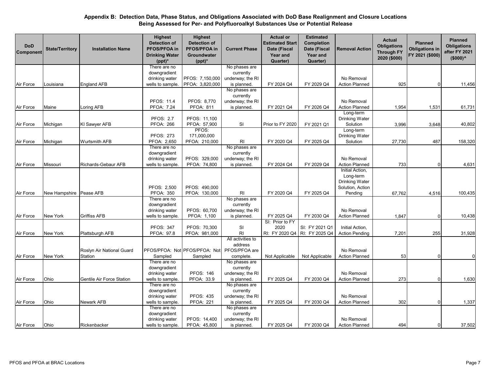| <b>DoD</b><br>Component | <b>State/Territory</b>    | <b>Installation Name</b>  | <b>Highest</b><br><b>Detection of</b><br>PFOS/PFOA in<br><b>Drinking Water</b><br>$(ppt)^*$ | <b>Highest</b><br><b>Detection of</b><br>PFOS/PFOA in<br>Groundwater<br>$(ppt)^*$ | <b>Current Phase</b>                           | <b>Actual or</b><br><b>Estimated Start</b><br>Date (Fiscal<br><b>Year and</b><br>Quarter) | <b>Estimated</b><br><b>Completion</b><br>Date (Fiscal<br>Year and<br>Quarter) | <b>Removal Action</b>                                                         | <b>Actual</b><br><b>Obligations</b><br><b>Through FY</b><br>2020 (\$000) | <b>Planned</b><br><b>Obligations in</b><br>FY 2021 (\$000) | <b>Planned</b><br><b>Obligations</b><br>after FY 2021<br>$($000)^{\wedge}$ |
|-------------------------|---------------------------|---------------------------|---------------------------------------------------------------------------------------------|-----------------------------------------------------------------------------------|------------------------------------------------|-------------------------------------------------------------------------------------------|-------------------------------------------------------------------------------|-------------------------------------------------------------------------------|--------------------------------------------------------------------------|------------------------------------------------------------|----------------------------------------------------------------------------|
|                         |                           |                           | There are no                                                                                |                                                                                   | No phases are                                  |                                                                                           |                                                                               |                                                                               |                                                                          |                                                            |                                                                            |
|                         |                           |                           | downgradient                                                                                |                                                                                   | currently                                      |                                                                                           |                                                                               |                                                                               |                                                                          |                                                            |                                                                            |
|                         |                           |                           | drinking water                                                                              | PFOS: 7,150,000                                                                   | underway; the RI                               |                                                                                           |                                                                               | No Removal                                                                    |                                                                          |                                                            |                                                                            |
| Air Force               | Louisiana                 | <b>England AFB</b>        | wells to sample.                                                                            | PFOA: 3,820,000                                                                   | is planned.                                    | FY 2024 Q4                                                                                | FY 2029 Q4                                                                    | <b>Action Planned</b>                                                         | 925                                                                      | 0                                                          | 11,456                                                                     |
|                         |                           |                           |                                                                                             |                                                                                   | No phases are<br>currently                     |                                                                                           |                                                                               |                                                                               |                                                                          |                                                            |                                                                            |
|                         |                           |                           | PFOS: 11.4                                                                                  | PFOS: 8,770                                                                       | underway; the RI                               |                                                                                           |                                                                               | No Removal                                                                    |                                                                          |                                                            |                                                                            |
| Air Force               | Maine                     | Loring AFB                | PFOA: 7.24                                                                                  | <b>PFOA: 811</b>                                                                  | is planned.                                    | FY 2021 Q4                                                                                | FY 2026 Q4                                                                    | <b>Action Planned</b>                                                         | 1,954                                                                    | 1,531                                                      | 61,731                                                                     |
|                         |                           |                           | <b>PFOS: 2.7</b>                                                                            | PFOS: 11,100                                                                      |                                                |                                                                                           |                                                                               | Long-term<br>Drinking Water                                                   |                                                                          |                                                            |                                                                            |
| Air Force               | Michigan                  | KI Sawyer AFB             | <b>PFOA: 266</b>                                                                            | PFOA: 57,900                                                                      | <b>SI</b>                                      | Prior to FY 2020                                                                          | FY 2021 Q1                                                                    | Solution                                                                      | 3,996                                                                    | 3,648                                                      | 40,802                                                                     |
|                         |                           |                           |                                                                                             | PFOS:                                                                             |                                                |                                                                                           |                                                                               | Long-term                                                                     |                                                                          |                                                            |                                                                            |
|                         |                           |                           | <b>PFOS: 273</b>                                                                            | 171,000,000                                                                       |                                                |                                                                                           |                                                                               | <b>Drinking Water</b>                                                         |                                                                          |                                                            |                                                                            |
| Air Force               | Michigan                  | Wurtsmith AFB             | PFOA: 2,650<br>There are no                                                                 | PFOA: 210,000                                                                     | RI<br>No phases are                            | FY 2020 Q4                                                                                | FY 2025 Q4                                                                    | Solution                                                                      | 27,730                                                                   | 487                                                        | 158,320                                                                    |
|                         |                           |                           | downgradient                                                                                |                                                                                   | currently                                      |                                                                                           |                                                                               |                                                                               |                                                                          |                                                            |                                                                            |
|                         |                           |                           | drinking water                                                                              | PFOS: 329,000                                                                     | underway; the RI                               |                                                                                           |                                                                               | No Removal                                                                    |                                                                          |                                                            |                                                                            |
| Air Force               | Missouri                  | Richards-Gebaur AFB       | wells to sample.                                                                            | PFOA: 74,800                                                                      | is planned.                                    | FY 2024 Q4                                                                                | FY 2029 Q4                                                                    | <b>Action Planned</b>                                                         | 733                                                                      | ſ                                                          | 4,631                                                                      |
| Air Force               | New Hampshire   Pease AFB |                           | PFOS: 2,500<br><b>PFOA: 350</b>                                                             | PFOS: 490.000<br>PFOA: 130,000                                                    | <b>RI</b>                                      | FY 2020 Q4                                                                                | FY 2025 Q4                                                                    | Initial Action,<br>Long-term<br>Drinking Water<br>Solution, Action<br>Pending | 67,762                                                                   | 4,516                                                      | 100,435                                                                    |
|                         |                           |                           | There are no                                                                                |                                                                                   | No phases are                                  |                                                                                           |                                                                               |                                                                               |                                                                          |                                                            |                                                                            |
| Air Force               | New York                  | Griffiss AFB              | downgradient<br>drinking water<br>wells to sample.                                          | PFOS: 60,700<br>PFOA: 1,100                                                       | currently<br>underway; the RI<br>is planned.   | FY 2025 Q4                                                                                | FY 2030 Q4                                                                    | No Removal<br><b>Action Planned</b>                                           | 1,847                                                                    | $\Omega$                                                   | 10,438                                                                     |
|                         |                           |                           |                                                                                             |                                                                                   |                                                | SI: Prior to FY                                                                           |                                                                               |                                                                               |                                                                          |                                                            |                                                                            |
|                         |                           |                           | <b>PFOS: 347</b>                                                                            | PFOS: 70,300                                                                      | <b>SI</b>                                      | 2020                                                                                      | SI: FY 2021 Q1                                                                | Initial Action,                                                               |                                                                          |                                                            |                                                                            |
| Air Force               | New York                  | Plattsburgh AFB           | PFOA: 97.8                                                                                  | PFOA: 981,000                                                                     | RI                                             | RI: FY 2020 Q4                                                                            | RI: FY 2025 Q4                                                                | <b>Action Pending</b>                                                         | 7,201                                                                    | 255                                                        | 31,928                                                                     |
|                         |                           |                           |                                                                                             |                                                                                   | All activities to<br>address                   |                                                                                           |                                                                               |                                                                               |                                                                          |                                                            |                                                                            |
|                         |                           | Roslyn Air National Guard |                                                                                             | PFOS/PFOA: Not PFOS/PFOA: Not                                                     | PFOS/PFOA are                                  |                                                                                           |                                                                               | No Removal                                                                    |                                                                          |                                                            |                                                                            |
| Air Force               | New York                  | Station                   | Sampled                                                                                     | Sampled                                                                           | complete.                                      | Not Applicable                                                                            | Not Applicable                                                                | <b>Action Planned</b>                                                         | 53                                                                       | 0                                                          |                                                                            |
|                         |                           |                           | There are no<br>downgradient<br>drinking water                                              | <b>PFOS: 146</b>                                                                  | No phases are<br>currently<br>underway; the RI |                                                                                           |                                                                               | No Removal                                                                    |                                                                          |                                                            |                                                                            |
| Air Force               | Ohio                      | Gentile Air Force Station | wells to sample.                                                                            | PFOA: 33.9                                                                        | is planned.                                    | FY 2025 Q4                                                                                | FY 2030 Q4                                                                    | <b>Action Planned</b>                                                         | 273                                                                      | n                                                          | 1,630                                                                      |
|                         |                           |                           | There are no                                                                                |                                                                                   | No phases are                                  |                                                                                           |                                                                               |                                                                               |                                                                          |                                                            |                                                                            |
|                         |                           |                           | downgradient                                                                                |                                                                                   | currently                                      |                                                                                           |                                                                               |                                                                               |                                                                          |                                                            |                                                                            |
|                         |                           |                           | drinking water                                                                              | <b>PFOS: 435</b>                                                                  | underway; the RI                               |                                                                                           |                                                                               | No Removal                                                                    |                                                                          |                                                            |                                                                            |
| Air Force               | Ohio                      | <b>Newark AFB</b>         | wells to sample.                                                                            | <b>PFOA: 221</b>                                                                  | is planned.                                    | FY 2025 Q4                                                                                | FY 2030 Q4                                                                    | <b>Action Planned</b>                                                         | 302                                                                      | $\Omega$                                                   | 1,337                                                                      |
|                         |                           |                           | There are no                                                                                |                                                                                   | No phases are                                  |                                                                                           |                                                                               |                                                                               |                                                                          |                                                            |                                                                            |
|                         |                           |                           | downgradient                                                                                |                                                                                   | currently                                      |                                                                                           |                                                                               |                                                                               |                                                                          |                                                            |                                                                            |
|                         |                           |                           | drinking water                                                                              | PFOS: 14,400                                                                      | underway; the RI                               |                                                                                           |                                                                               | No Removal                                                                    |                                                                          |                                                            |                                                                            |
| Air Force               | Ohio                      | Rickenbacker              | wells to sample.                                                                            | PFOA: 45,800                                                                      | is planned.                                    | FY 2025 Q4                                                                                | FY 2030 Q4                                                                    | <b>Action Planned</b>                                                         | 494                                                                      | 0                                                          | 37,502                                                                     |